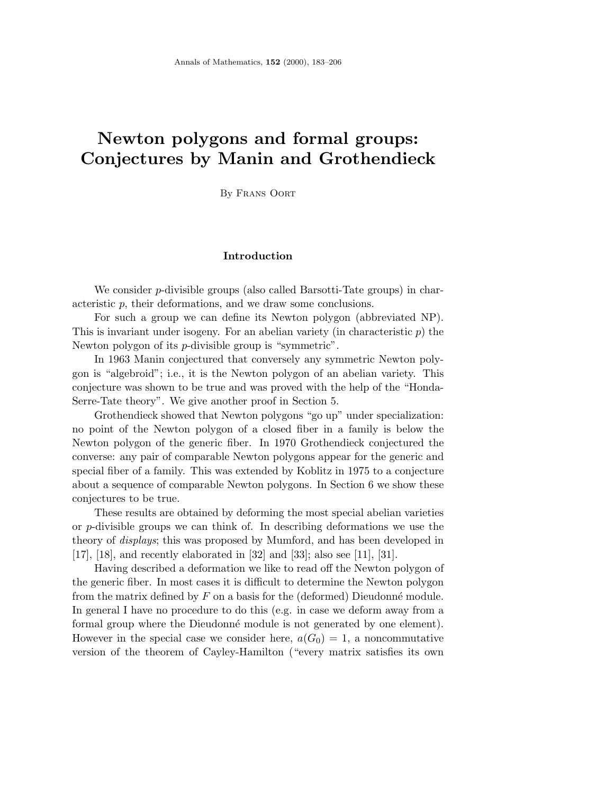# **Newton polygons and formal groups: Conjectures by Manin and Grothendieck**

By FRANS OORT

### **Introduction**

We consider *p*-divisible groups (also called Barsotti-Tate groups) in characteristic *p*, their deformations, and we draw some conclusions.

For such a group we can define its Newton polygon (abbreviated NP). This is invariant under isogeny. For an abelian variety (in characteristic *p*) the Newton polygon of its *p*-divisible group is "symmetric".

In 1963 Manin conjectured that conversely any symmetric Newton polygon is "algebroid"; i.e., it is the Newton polygon of an abelian variety. This conjecture was shown to be true and was proved with the help of the "Honda-Serre-Tate theory". We give another proof in Section 5.

Grothendieck showed that Newton polygons "go up" under specialization: no point of the Newton polygon of a closed fiber in a family is below the Newton polygon of the generic fiber. In 1970 Grothendieck conjectured the converse: any pair of comparable Newton polygons appear for the generic and special fiber of a family. This was extended by Koblitz in 1975 to a conjecture about a sequence of comparable Newton polygons. In Section 6 we show these conjectures to be true.

These results are obtained by deforming the most special abelian varieties or *p*-divisible groups we can think of. In describing deformations we use the theory of displays; this was proposed by Mumford, and has been developed in [17], [18], and recently elaborated in [32] and [33]; also see [11], [31].

Having described a deformation we like to read off the Newton polygon of the generic fiber. In most cases it is difficult to determine the Newton polygon from the matrix defined by *F* on a basis for the (deformed) Dieudonné module. In general I have no procedure to do this (e.g. in case we deform away from a formal group where the Dieudonné module is not generated by one element). However in the special case we consider here,  $a(G_0) = 1$ , a noncommutative version of the theorem of Cayley-Hamilton ("every matrix satisfies its own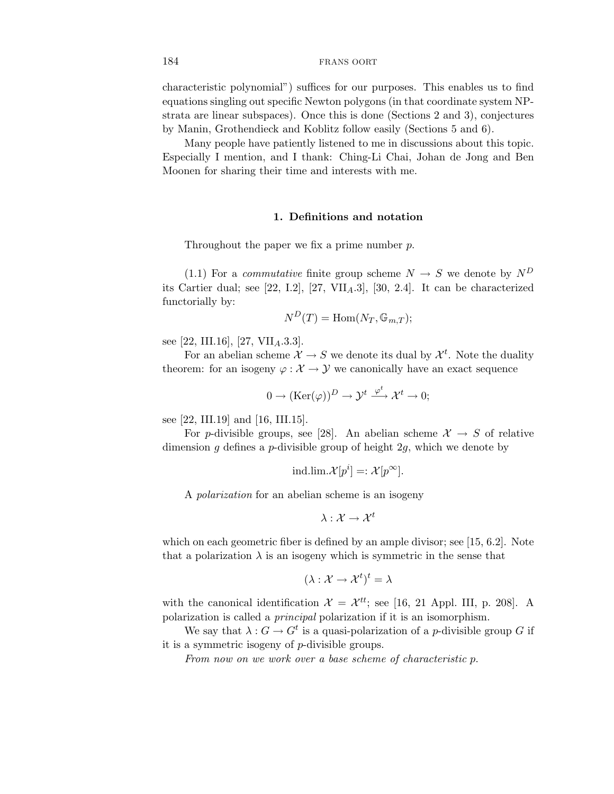characteristic polynomial") suffices for our purposes. This enables us to find equations singling out specific Newton polygons (in that coordinate system NPstrata are linear subspaces). Once this is done (Sections 2 and 3), conjectures by Manin, Grothendieck and Koblitz follow easily (Sections 5 and 6).

Many people have patiently listened to me in discussions about this topic. Especially I mention, and I thank: Ching-Li Chai, Johan de Jong and Ben Moonen for sharing their time and interests with me.

#### **1. Definitions and notation**

Throughout the paper we fix a prime number *p*.

(1.1) For a *commutative* finite group scheme  $N \rightarrow S$  we denote by  $N^D$ its Cartier dual; see [22, I.2], [27, VII*A*.3], [30, 2.4]. It can be characterized functorially by:

$$
N^{D}(T) = \text{Hom}(N_{T}, \mathbb{G}_{m,T});
$$

see [22, III.16], [27, VII*A*.3.3].

For an abelian scheme  $X \to S$  we denote its dual by  $\mathcal{X}^t$ . Note the duality theorem: for an isogeny  $\varphi : \mathcal{X} \to \mathcal{Y}$  we canonically have an exact sequence

$$
0 \to (\mathrm{Ker}(\varphi))^{D} \to \mathcal{Y}^{t} \xrightarrow{\varphi^{t}} \mathcal{X}^{t} \to 0;
$$

see [22, III.19] and [16, III.15].

For *p*-divisible groups, see [28]. An abelian scheme  $\mathcal{X} \to S$  of relative dimension *g* defines a *p*-divisible group of height 2*g*, which we denote by

$$
ind. \lim \mathcal{X}[p^i] =: \mathcal{X}[p^{\infty}].
$$

A polarization for an abelian scheme is an isogeny

$$
\lambda: \mathcal{X} \rightarrow \mathcal{X}^t
$$

which on each geometric fiber is defined by an ample divisor; see [15, 6.2]. Note that a polarization  $\lambda$  is an isogeny which is symmetric in the sense that

$$
(\lambda: \mathcal{X} \to \mathcal{X}^t)^t = \lambda
$$

with the canonical identification  $\mathcal{X} = \mathcal{X}^{tt}$ ; see [16, 21 Appl. III, p. 208]. A polarization is called a principal polarization if it is an isomorphism.

We say that  $\lambda: G \to G^t$  is a quasi-polarization of a *p*-divisible group G if it is a symmetric isogeny of *p*-divisible groups.

From now on we work over a base scheme of characteristic *p*.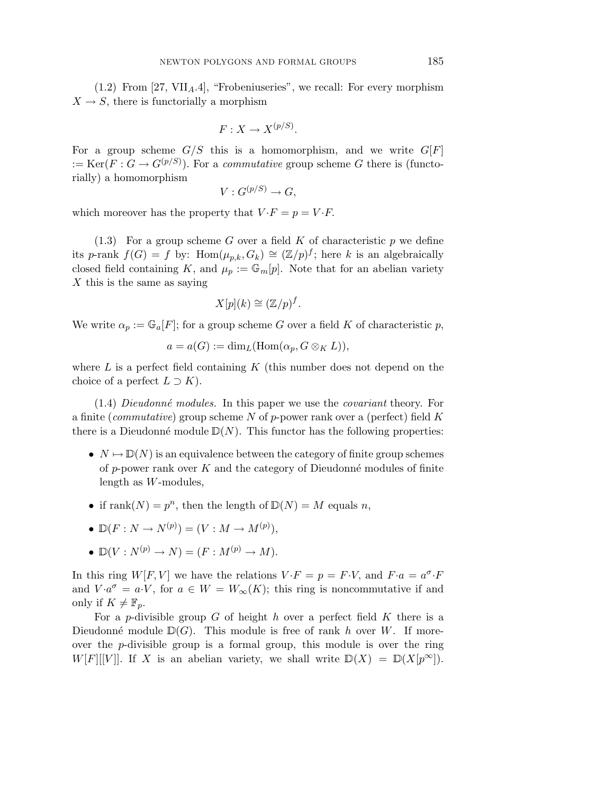(1.2) From [27, VII*A*.4], "Frobeniuseries", we recall: For every morphism  $X \rightarrow S$ , there is functorially a morphism

$$
F:X\to X^{(p/S)}.
$$

For a group scheme  $G/S$  this is a homomorphism, and we write  $G[F]$  $:= \text{Ker}(F: G \to G^{(p/S)})$ . For a *commutative* group scheme *G* there is (functorially) a homomorphism

$$
V: G^{(p/S)} \to G,
$$

which moreover has the property that  $V \cdot F = p = V \cdot F$ .

(1.3) For a group scheme *G* over a field *K* of characteristic *p* we define its *p*-rank  $f(G) = f$  by: Hom $(\mu_{p,k}, G_k) \cong (\mathbb{Z}/p)^f$ ; here *k* is an algebraically closed field containing *K*, and  $\mu_p := \mathbb{G}_m[p]$ . Note that for an abelian variety *X* this is the same as saying

$$
X[p](k) \cong (\mathbb{Z}/p)^f.
$$

We write  $\alpha_p := \mathbb{G}_a[F]$ ; for a group scheme *G* over a field *K* of characteristic *p*,

$$
a = a(G) := \dim_L(\mathrm{Hom}(\alpha_p, G \otimes_K L)),
$$

where *L* is a perfect field containing *K* (this number does not depend on the choice of a perfect  $L \supset K$ .

 $(1.4)$  *Dieudonné modules*. In this paper we use the *covariant* theory. For a finite (commutative) group scheme *N* of *p*-power rank over a (perfect) field *K* there is a Dieudonné module  $\mathbb{D}(N)$ . This functor has the following properties:

- $N \mapsto \mathbb{D}(N)$  is an equivalence between the category of finite group schemes of  $p$ -power rank over  $K$  and the category of Dieudonné modules of finite length as *W*-modules,
- if rank $(N) = p^n$ , then the length of  $D(N) = M$  equals *n*,
- $\mathbb{D}(F : N \to N^{(p)}) = (V : M \to M^{(p)}),$
- $\mathbb{D}(V: N^{(p)} \to N) = (F: M^{(p)} \to M).$

In this ring  $W[F, V]$  we have the relations  $V \cdot F = p = F \cdot V$ , and  $F \cdot a = a^{\sigma} \cdot F$ and  $V \cdot a^{\sigma} = a \cdot V$ , for  $a \in W = W_{\infty}(K)$ ; this ring is noncommutative if and only if  $K \neq \mathbb{F}_p$ .

For a *p*-divisible group *G* of height *h* over a perfect field *K* there is a Dieudonné module  $\mathbb{D}(G)$ . This module is free of rank *h* over *W*. If moreover the *p*-divisible group is a formal group, this module is over the ring *W*[*F*][*V*]]*.* If *X* is an abelian variety, we shall write  $D(X) = D(X[p^{\infty}])$ .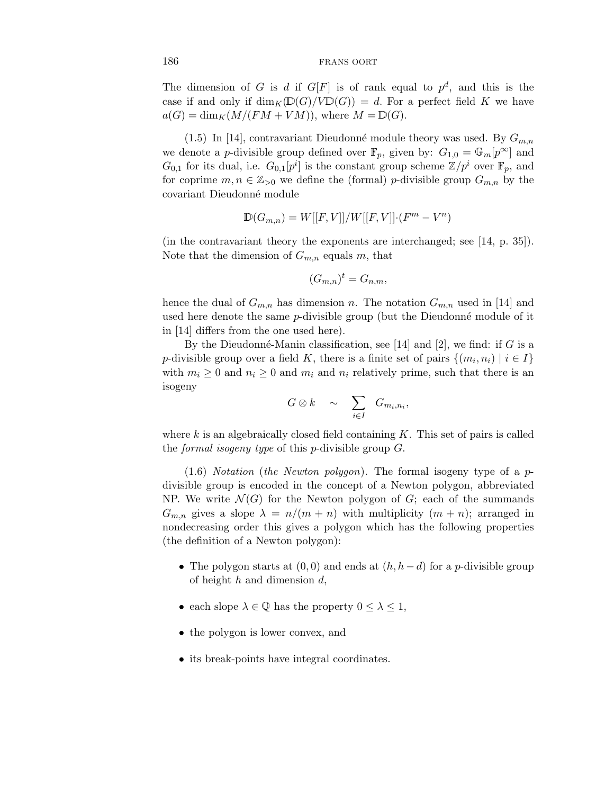The dimension of *G* is *d* if  $G[F]$  is of rank equal to  $p^d$ , and this is the case if and only if  $\dim_K(\mathbb{D}(G)/V\mathbb{D}(G)) = d$ . For a perfect field K we have  $a(G) = \dim_K(M/(FM+VM)),$  where  $M = \mathbb{D}(G).$ 

(1.5) In [14], contravariant Dieudonné module theory was used. By  $G_{m,n}$ we denote a *p*-divisible group defined over  $\mathbb{F}_p$ , given by:  $G_{1,0} = \mathbb{G}_m[p^\infty]$  and  $G_{0,1}$  for its dual, i.e.  $G_{0,1}[p^i]$  is the constant group scheme  $\mathbb{Z}/p^i$  over  $\mathbb{F}_p$ , and for coprime  $m, n \in \mathbb{Z}_{>0}$  we define the (formal) *p*-divisible group  $G_{m,n}$  by the covariant Dieudonn´e module

$$
\mathbb{D}(G_{m,n})=W[[F,V]]/W[[F,V]]\cdot (F^m-V^n)
$$

(in the contravariant theory the exponents are interchanged; see [14, p. 35]). Note that the dimension of  $G_{m,n}$  equals m, that

$$
(G_{m,n})^t = G_{n,m},
$$

hence the dual of  $G_{m,n}$  has dimension *n*. The notation  $G_{m,n}$  used in [14] and used here denote the same *p*-divisible group (but the Dieudonn´e module of it in [14] differs from the one used here).

By the Dieudonné-Manin classification, see [14] and [2], we find: if  $G$  is a *p*-divisible group over a field *K*, there is a finite set of pairs  $\{(m_i, n_i) | i \in I\}$ with  $m_i \geq 0$  and  $n_i \geq 0$  and  $m_i$  and  $n_i$  relatively prime, such that there is an isogeny

$$
G\otimes k \quad \sim \quad \sum_{i\in I} \ \ G_{m_i,n_i},
$$

where *k* is an algebraically closed field containing *K*. This set of pairs is called the formal isogeny type of this *p*-divisible group *G*.

(1.6) Notation (the Newton polygon). The formal isogeny type of a *p*divisible group is encoded in the concept of a Newton polygon, abbreviated NP. We write  $\mathcal{N}(G)$  for the Newton polygon of  $G$ ; each of the summands  $G_{m,n}$  gives a slope  $\lambda = n/(m+n)$  with multiplicity  $(m+n)$ ; arranged in nondecreasing order this gives a polygon which has the following properties (the definition of a Newton polygon):

- The polygon starts at  $(0,0)$  and ends at  $(h, h-d)$  for a *p*-divisible group of height *h* and dimension *d*,
- each slope  $\lambda \in \mathbb{Q}$  has the property  $0 \leq \lambda \leq 1$ ,
- the polygon is lower convex, and
- its break-points have integral coordinates.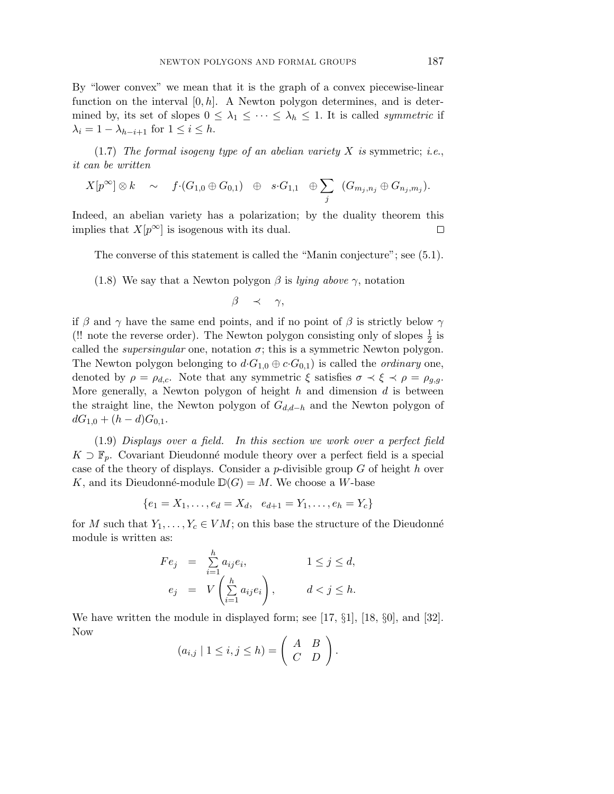By "lower convex" we mean that it is the graph of a convex piecewise-linear function on the interval [0*, h*]. A Newton polygon determines, and is determined by, its set of slopes  $0 \leq \lambda_1 \leq \cdots \leq \lambda_h \leq 1$ . It is called *symmetric* if  $\lambda_i = 1 - \lambda_{h-i+1}$  for  $1 \leq i \leq h$ .

(1.7) The formal isogeny type of an abelian variety  $X$  is symmetric; i.e., it can be written

$$
X[p^{\infty}] \otimes k \quad \sim \quad f \cdot (G_{1,0} \oplus G_{0,1}) \quad \oplus \quad s \cdot G_{1,1} \quad \oplus \sum_j \quad (G_{m_j,n_j} \oplus G_{n_j,m_j}).
$$

Indeed, an abelian variety has a polarization; by the duality theorem this implies that  $X[p^{\infty}]$  is isogenous with its dual.  $\Box$ 

The converse of this statement is called the "Manin conjecture"; see (5.1).

(1.8) We say that a Newton polygon  $\beta$  is *lying above*  $\gamma$ , notation

$$
\beta \quad \prec \quad \gamma,
$$

if  $\beta$  and  $\gamma$  have the same end points, and if no point of  $\beta$  is strictly below  $\gamma$ (!! note the reverse order). The Newton polygon consisting only of slopes  $\frac{1}{2}$  is called the *supersingular* one, notation  $\sigma$ ; this is a symmetric Newton polygon. The Newton polygon belonging to  $d \cdot G_{1,0} \oplus c \cdot G_{0,1}$  is called the *ordinary* one, denoted by  $\rho = \rho_{d,c}$ . Note that any symmetric  $\xi$  satisfies  $\sigma \prec \xi \prec \rho = \rho_{g,g}$ . More generally, a Newton polygon of height *h* and dimension *d* is between the straight line, the Newton polygon of *Gd,d*−*<sup>h</sup>* and the Newton polygon of  $dG_{1,0} + (h - d)G_{0,1}.$ 

(1.9) Displays over a field. In this section we work over a perfect field  $K \supset \mathbb{F}_p$ . Covariant Dieudonné module theory over a perfect field is a special case of the theory of displays. Consider a *p*-divisible group *G* of height *h* over *K*, and its Dieudonné-module  $D(G) = M$ . We choose a *W*-base

$$
\{e_1 = X_1, \dots, e_d = X_d, \ e_{d+1} = Y_1, \dots, e_h = Y_c\}
$$

for *M* such that  $Y_1, \ldots, Y_c \in VM$ ; on this base the structure of the Dieudonné module is written as:

$$
Fe_j = \sum_{i=1}^h a_{ij}e_i, \qquad 1 \le j \le d,
$$
  

$$
e_j = V\left(\sum_{i=1}^h a_{ij}e_i\right), \qquad d < j \le h.
$$

We have written the module in displayed form; see [17,  $\S$ 1], [18,  $\S$ 0], and [32]. Now

$$
(a_{i,j} | 1 \leq i, j \leq h) = \left(\begin{array}{cc} A & B \\ C & D \end{array}\right).
$$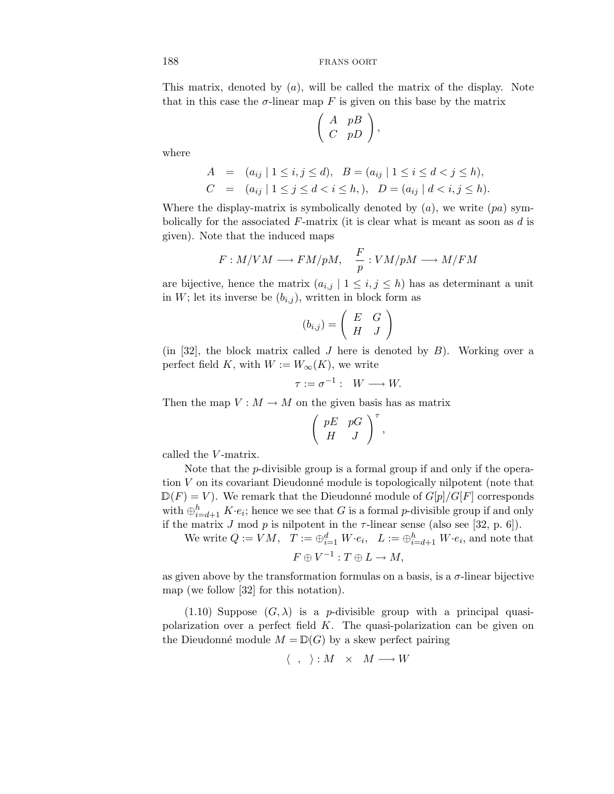This matrix, denoted by (*a*), will be called the matrix of the display. Note that in this case the  $\sigma$ -linear map F is given on this base by the matrix

$$
\left(\begin{array}{cc}A & pB \\ C & pD\end{array}\right),\end{array}
$$

where

$$
A = (a_{ij} | 1 \le i, j \le d), B = (a_{ij} | 1 \le i \le d < j \le h),
$$
  
\n
$$
C = (a_{ij} | 1 \le j \le d < i \le h), D = (a_{ij} | d < i, j \le h).
$$

Where the display-matrix is symbolically denoted by (*a*), we write (*pa*) symbolically for the associated *F*-matrix (it is clear what is meant as soon as *d* is given). Note that the induced maps

$$
F: M/VM \longrightarrow FM/pM, \quad \frac{F}{p}: VM/pM \longrightarrow M/FM
$$

are bijective, hence the matrix  $(a_{i,j} | 1 \leq i, j \leq h)$  has as determinant a unit in *W*; let its inverse be  $(b_{i,j})$ , written in block form as

$$
(b_{i,j}) = \left(\begin{array}{cc} E & G \\ H & J \end{array}\right)
$$

(in [32], the block matrix called *J* here is denoted by *B*). Working over a perfect field *K*, with  $W := W_\infty(K)$ , we write

$$
\tau := \sigma^{-1} : W \longrightarrow W.
$$

Then the map  $V : M \to M$  on the given basis has as matrix

$$
\left(\begin{array}{cc} pE & pG \\ H & J \end{array}\right)^{\tau},
$$

called the *V* -matrix.

Note that the *p*-divisible group is a formal group if and only if the operation *V* on its covariant Dieudonné module is topologically nilpotent (note that  $D(F) = V$ ). We remark that the Dieudonné module of  $G[p]/G[F]$  corresponds with  $\bigoplus_{i=d+1}^h K \cdot e_i$ ; hence we see that *G* is a formal *p*-divisible group if and only if the matrix *J* mod  $p$  is nilpotent in the  $\tau$ -linear sense (also see [32, p. 6]).

We write  $Q := VM$ ,  $T := \bigoplus_{i=1}^{d} W \cdot e_i$ ,  $L := \bigoplus_{i=d+1}^{h} W \cdot e_i$ , and note that

$$
F \oplus V^{-1} : T \oplus L \to M,
$$

as given above by the transformation formulas on a basis, is a *σ*-linear bijective map (we follow [32] for this notation).

(1.10) Suppose  $(G, \lambda)$  is a *p*-divisible group with a principal quasipolarization over a perfect field *K*. The quasi-polarization can be given on the Dieudonné module  $M = \mathbb{D}(G)$  by a skew perfect pairing

$$
\langle \ , \ \rangle : M \ \times \ M \longrightarrow W
$$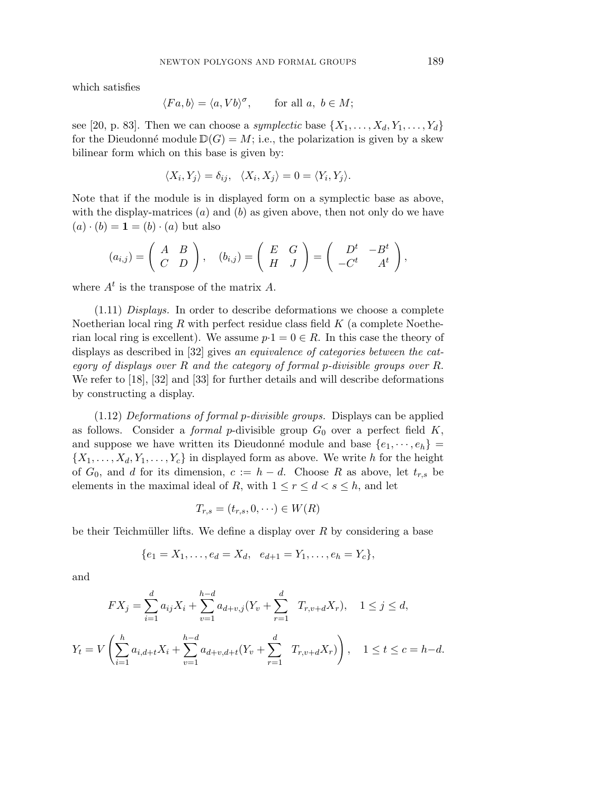which satisfies

$$
\langle Fa, b \rangle = \langle a, Vb \rangle^{\sigma}
$$
, for all  $a, b \in M$ ;

see [20, p. 83]. Then we can choose a *symplectic* base  $\{X_1, \ldots, X_d, Y_1, \ldots, Y_d\}$ for the Dieudonné module  $D(G) = M$ ; i.e., the polarization is given by a skew bilinear form which on this base is given by:

$$
\langle X_i, Y_j \rangle = \delta_{ij}, \quad \langle X_i, X_j \rangle = 0 = \langle Y_i, Y_j \rangle.
$$

Note that if the module is in displayed form on a symplectic base as above, with the display-matrices (*a*) and (*b*) as given above, then not only do we have  $(a) \cdot (b) = \mathbf{1} = (b) \cdot (a)$  but also

$$
(a_{i,j}) = \begin{pmatrix} A & B \\ C & D \end{pmatrix}, \quad (b_{i,j}) = \begin{pmatrix} E & G \\ H & J \end{pmatrix} = \begin{pmatrix} D^t & -B^t \\ -C^t & A^t \end{pmatrix},
$$

where  $A^t$  is the transpose of the matrix  $A$ .

(1.11) Displays. In order to describe deformations we choose a complete Noetherian local ring *R* with perfect residue class field *K* (a complete Noetherian local ring is excellent). We assume  $p \cdot 1 = 0 \in R$ . In this case the theory of displays as described in [32] gives an equivalence of categories between the category of displays over *R* and the category of formal *p*-divisible groups over *R*. We refer to [18], [32] and [33] for further details and will describe deformations by constructing a display.

(1.12) Deformations of formal *p*-divisible groups. Displays can be applied as follows. Consider a formal *p*-divisible group *G*<sup>0</sup> over a perfect field *K*, and suppose we have written its Dieudonné module and base  ${e_1, \dots, e_h}$  ${X_1, \ldots, X_d, Y_1, \ldots, Y_c}$  in displayed form as above. We write *h* for the height of  $G_0$ , and *d* for its dimension,  $c := h - d$ . Choose R as above, let  $t_{r,s}$  be elements in the maximal ideal of *R*, with  $1 \leq r \leq d < s \leq h$ , and let

$$
T_{r,s} = (t_{r,s}, 0, \cdots) \in W(R)
$$

be their Teichmüller lifts. We define a display over R by considering a base

$$
\{e_1 = X_1, \ldots, e_d = X_d, \quad e_{d+1} = Y_1, \ldots, e_h = Y_c\},\
$$

and

$$
FX_j = \sum_{i=1}^d a_{ij}X_i + \sum_{v=1}^{h-d} a_{d+v,j}(Y_v + \sum_{r=1}^d T_{r,v+d}X_r), \quad 1 \le j \le d,
$$
  

$$
Y_t = V\left(\sum_{i=1}^h a_{i,d+t}X_i + \sum_{v=1}^{h-d} a_{d+v,d+t}(Y_v + \sum_{r=1}^d T_{r,v+d}X_r)\right), \quad 1 \le t \le c = h-d.
$$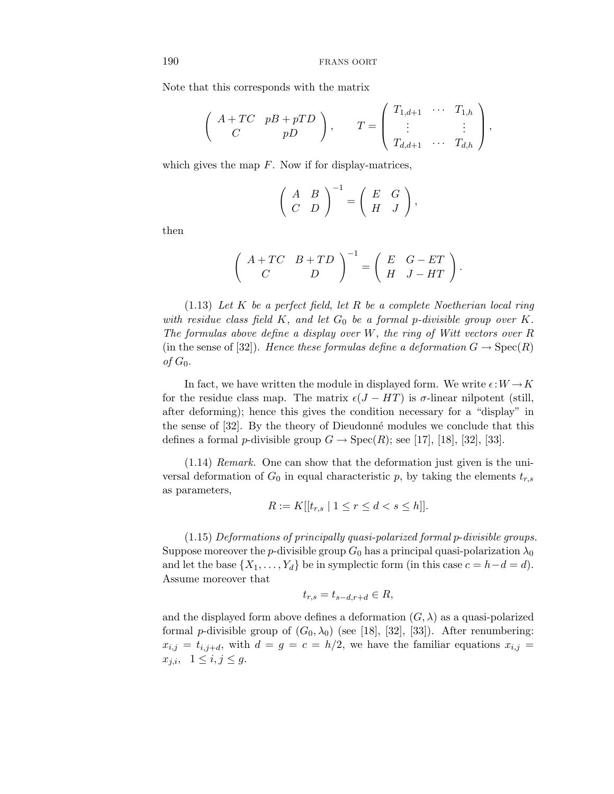Note that this corresponds with the matrix

$$
\left(\begin{array}{ccc} A+TC & pB+pTD \\ C & pD \end{array}\right), \qquad T=\left(\begin{array}{ccc} T_{1,d+1} & \cdots & T_{1,h} \\ \vdots & & \vdots \\ T_{d,d+1} & \cdots & T_{d,h} \end{array}\right),
$$

which gives the map *F*. Now if for display-matrices,

$$
\left(\begin{array}{cc} A & B \\ C & D \end{array}\right)^{-1} = \left(\begin{array}{cc} E & G \\ H & J \end{array}\right),
$$

then

$$
\left(\begin{array}{cc}A+TC & B+TD \\ C & D\end{array}\right)^{-1} = \left(\begin{array}{cc}E & G-ET \\ H & J-HT\end{array}\right).
$$

(1.13) Let *K* be a perfect field, let *R* be a complete Noetherian local ring with residue class field *K*, and let *G*<sup>0</sup> be a formal *p*-divisible group over *K*. The formulas above define a display over *W*, the ring of Witt vectors over *R* (in the sense of [32]). Hence these formulas define a deformation  $G \to \text{Spec}(R)$ of  $G_0$ .

In fact, we have written the module in displayed form. We write  $\epsilon: W \to K$ for the residue class map. The matrix  $\epsilon(J - HT)$  is  $\sigma$ -linear nilpotent (still, after deforming); hence this gives the condition necessary for a "display" in the sense of  $[32]$ . By the theory of Dieudonné modules we conclude that this defines a formal *p*-divisible group  $G \to \text{Spec}(R)$ ; see [17], [18], [32], [33].

(1.14) Remark. One can show that the deformation just given is the universal deformation of  $G_0$  in equal characteristic  $p$ , by taking the elements  $t_{r,s}$ as parameters,

$$
R := K[[t_{r,s} \mid 1 \le r \le d < s \le h]].
$$

(1.15) Deformations of principally quasi-polarized formal *p*-divisible groups. Suppose moreover the *p*-divisible group  $G_0$  has a principal quasi-polarization  $\lambda_0$ and let the base  $\{X_1, \ldots, Y_d\}$  be in symplectic form (in this case  $c = h - d = d$ ). Assume moreover that

$$
t_{r,s}=t_{s-d,r+d}\in R,
$$

and the displayed form above defines a deformation  $(G, \lambda)$  as a quasi-polarized formal *p*-divisible group of  $(G_0, \lambda_0)$  (see [18], [32], [33]). After renumbering:  $x_{i,j} = t_{i,j+d}$ , with  $d = g = c = h/2$ , we have the familiar equations  $x_{i,j} =$ *x*<sub>*j*,*i*</sub>, 1≤ *i*, *j* ≤ *g*.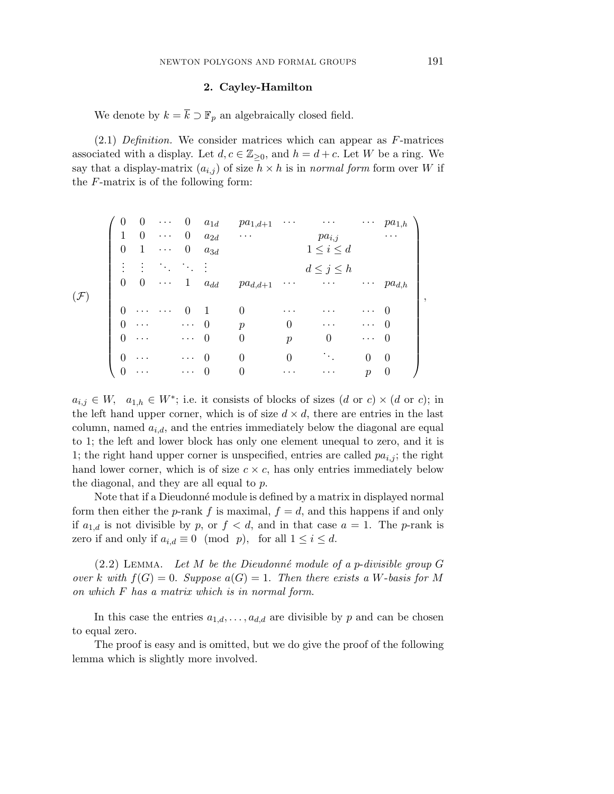#### **2. Cayley-Hamilton**

We denote by  $k = \overline{k} \supset \mathbb{F}_p$  an algebraically closed field.

(2.1) Definition. We consider matrices which can appear as *F*-matrices associated with a display. Let  $d, c \in \mathbb{Z}_{\geq 0}$ , and  $h = d + c$ . Let *W* be a ring. We say that a display-matrix  $(a_{i,j})$  of size  $h \times h$  is in normal form form over *W* if the *F*-matrix is of the following form:

|                 | O         | 0         | $\ldots$                          | $\boldsymbol{0}$     | $a_{1d}$              | $pa_{1,d+1}$   |                  |                        | $\bullet$ , $\bullet$ , $\bullet$ | $pa_{1,h}$       |   |
|-----------------|-----------|-----------|-----------------------------------|----------------------|-----------------------|----------------|------------------|------------------------|-----------------------------------|------------------|---|
|                 | 1         | $\theta$  | $\ldots$                          | $\theta$             | $a_{2d}$              | $\cdots$       |                  | $pa_{i,j}$             |                                   | .                |   |
|                 | 0         | 1         | $\cdots$                          | $\boldsymbol{0}$     | $a_{3d}$              |                |                  | $1\leq i\leq d$        |                                   |                  |   |
|                 | $\bullet$ | $\bullet$ | $\bullet$                         | $\ddot{\phantom{a}}$ |                       |                |                  | $d \leq j \leq h$      |                                   |                  |   |
|                 | $\theta$  | $\theta$  | $\bullet$ . $\bullet$ . $\bullet$ | $\mathbf{1}$         | $\boldsymbol{a}_{dd}$ | $pa_{d,d+1}$   | $\cdots$         |                        | $\cdots$                          | $pa_{d,h}$       |   |
| $(\mathcal{F})$ |           |           |                                   |                      |                       |                |                  |                        |                                   |                  | , |
|                 | $\Omega$  |           | .                                 | $\theta$             |                       | $\theta$       |                  |                        | .                                 | $\Omega$         |   |
|                 | $\Omega$  | .         |                                   | $\ddots$             | 0                     | $\mathfrak{p}$ | $\theta$         | .                      | .                                 | $\theta$         |   |
|                 | 0         | $\cdots$  |                                   | $\cdots$             | $\theta$              | $\theta$       | $\boldsymbol{p}$ | $\boldsymbol{0}$       | .                                 | $\theta$         |   |
|                 | $\Omega$  | .         |                                   | $\cdots$             | $\Omega$              | $\theta$       | $\theta$         | $\ddot{\phantom{0}}$ . | $\theta$                          | $\theta$         |   |
|                 |           | $\cdots$  |                                   | $\cdots$             | $\Omega$              | $\theta$       | $\cdots$         |                        | $\,p\,$                           | $\boldsymbol{0}$ |   |

 $a_{i,j} \in W$ ,  $a_{1,h} \in W^*$ ; i.e. it consists of blocks of sizes  $(d \text{ or } c) \times (d \text{ or } c)$ ; in the left hand upper corner, which is of size  $d \times d$ , there are entries in the last column, named *ai,d*, and the entries immediately below the diagonal are equal to 1; the left and lower block has only one element unequal to zero, and it is 1; the right hand upper corner is unspecified, entries are called  $pa_{i,j}$ ; the right hand lower corner, which is of size  $c \times c$ , has only entries immediately below the diagonal, and they are all equal to *p*.

Note that if a Dieudonné module is defined by a matrix in displayed normal form then either the *p*-rank  $f$  is maximal,  $f = d$ , and this happens if and only if  $a_{1,d}$  is not divisible by p, or  $f < d$ , and in that case  $a = 1$ . The p-rank is zero if and only if  $a_{i,d} \equiv 0 \pmod{p}$ , for all  $1 \leq i \leq d$ .

 $(2.2)$  LEMMA. Let *M* be the Dieudonné module of a *p*-divisible group *G* over *k* with  $f(G) = 0$ . Suppose  $a(G) = 1$ . Then there exists a *W*-basis for *M* on which *F* has a matrix which is in normal form.

In this case the entries  $a_{1,d}, \ldots, a_{d,d}$  are divisible by p and can be chosen to equal zero.

The proof is easy and is omitted, but we do give the proof of the following lemma which is slightly more involved.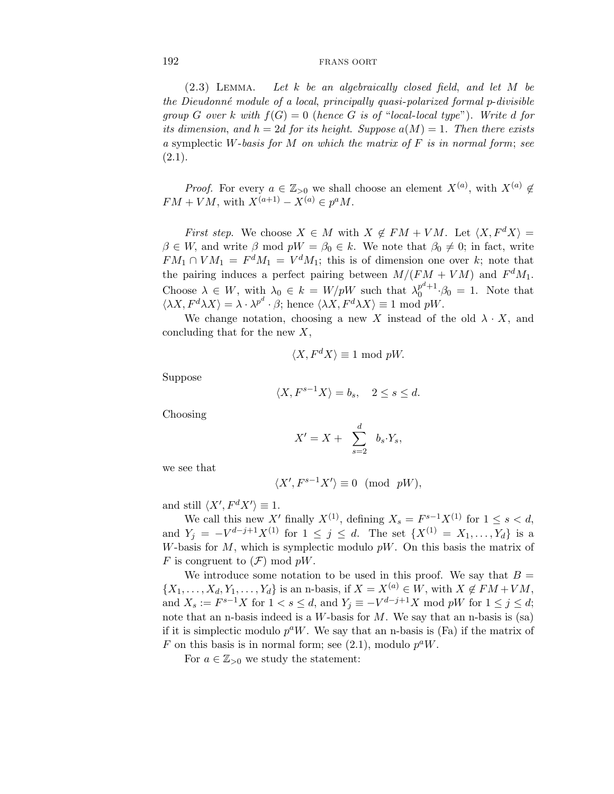(2.3) Lemma. Let *k* be an algebraically closed field, and let *M* be the Dieudonne module of a local, principally quasi-polarized formal *p*-divisible *group G* over *k* with  $f(G) = 0$  (hence *G* is of "local-local type"). Write *d* for its dimension, and  $h = 2d$  for its height. Suppose  $a(M) = 1$ . Then there exists a symplectic *W*-basis for *M* on which the matrix of *F* is in normal form; see  $(2.1).$ 

*Proof.* For every  $a \in \mathbb{Z}_{>0}$  we shall choose an element  $X^{(a)}$ , with  $X^{(a)} \notin$  $FM + VM$ , with  $X^{(a+1)} - X^{(a)} \in p^a M$ .

*First step.* We choose  $X \in M$  with  $X \notin FM + VM$ . Let  $\langle X, F^d X \rangle =$  $\beta \in W$ , and write  $\beta$  mod  $pW = \beta_0 \in k$ . We note that  $\beta_0 \neq 0$ ; in fact, write  $FM_1 \cap VM_1 = F^dM_1 = V^dM_1$ ; this is of dimension one over *k*; note that the pairing induces a perfect pairing between  $M/(FM + VM)$  and  $F^dM_1$ . Choose  $\lambda \in W$ , with  $\lambda_0 \in k = W/pW$  such that  $\lambda_0^{p^d+1} \cdot \beta_0 = 1$ . Note that  $\langle \lambda X, F^d \lambda X \rangle = \lambda \cdot \lambda^{p^d} \cdot \beta$ ; hence  $\langle \lambda X, F^d \lambda X \rangle \equiv 1 \text{ mod } pW$ .

We change notation, choosing a new *X* instead of the old  $\lambda \cdot X$ , and concluding that for the new *X*,

$$
\langle X, F^d X \rangle \equiv 1 \text{ mod } pW.
$$

Suppose

$$
\langle X, F^{s-1}X \rangle = b_s, \quad 2 \le s \le d.
$$

Choosing

$$
X' = X + \sum_{s=2}^{d} b_s \cdot Y_s,
$$

we see that

$$
\langle X', F^{s-1}X' \rangle \equiv 0 \pmod{pW},
$$

and still  $\langle X', F^d X' \rangle \equiv 1$ .

We call this new  $X'$  finally  $X^{(1)}$ , defining  $X_s = F^{s-1}X^{(1)}$  for  $1 \leq s < d$ , and  $Y_i = -V^{d-j+1}X^{(1)}$  for  $1 \leq j \leq d$ . The set  $\{X^{(1)} = X_1, \ldots, Y_d\}$  is a *W*-basis for *M*, which is symplectic modulo *pW*. On this basis the matrix of *F* is congruent to  $(\mathcal{F})$  mod  $pW$ .

We introduce some notation to be used in this proof. We say that  $B =$  $\{X_1, \ldots, X_d, Y_1, \ldots, Y_d\}$  is an n-basis, if  $X = X^{(a)} \in W$ , with  $X \notin FM + VM$ , and  $X_s := F^{s-1}X$  for  $1 < s \le d$ , and  $Y_j \equiv -V^{d-j+1}X$  mod  $pW$  for  $1 \le j \le d$ ; note that an n-basis indeed is a *W*-basis for *M*. We say that an n-basis is (sa) if it is simplectic modulo  $p^a W$ . We say that an n-basis is (Fa) if the matrix of *F* on this basis is in normal form; see  $(2.1)$ , modulo  $p^aW$ .

For  $a \in \mathbb{Z}_{>0}$  we study the statement: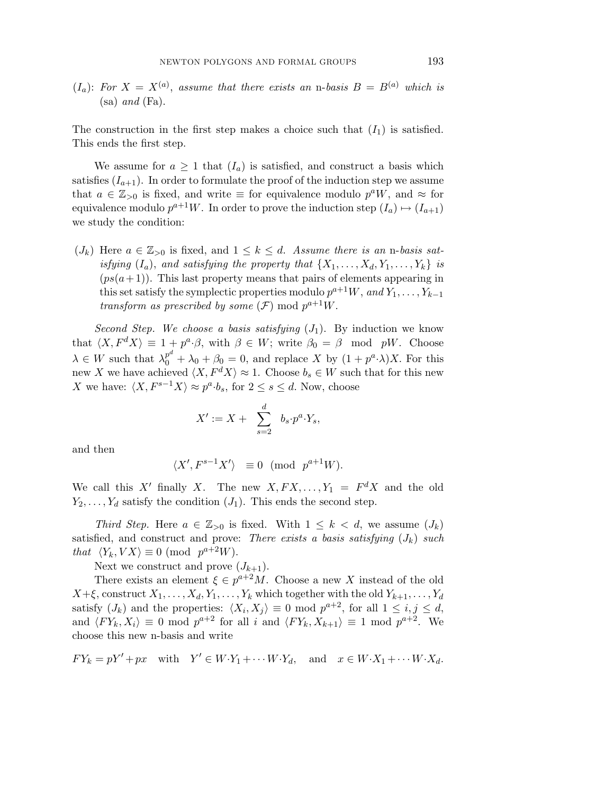$(I_a)$ : For  $X = X^{(a)}$ , assume that there exists an n-basis  $B = B^{(a)}$  which is  $(sa)$  and  $(Fa)$ .

The construction in the first step makes a choice such that  $(I_1)$  is satisfied. This ends the first step.

We assume for  $a \geq 1$  that  $(I_a)$  is satisfied, and construct a basis which satisfies  $(I_{a+1})$ . In order to formulate the proof of the induction step we assume that  $a \in \mathbb{Z}_{>0}$  is fixed, and write  $\equiv$  for equivalence modulo  $p^aW$ , and  $\approx$  for equivalence modulo  $p^{a+1}W$ . In order to prove the induction step  $(I_a) \mapsto (I_{a+1})$ we study the condition:

 $(J_k)$  Here  $a \in \mathbb{Z}_{>0}$  is fixed, and  $1 \leq k \leq d$ . Assume there is an n-basis satisfying  $(I_a)$ , and satisfying the property that  $\{X_1, \ldots, X_d, Y_1, \ldots, Y_k\}$  is  $(ps(a+1))$ . This last property means that pairs of elements appearing in this set satisfy the symplectic properties modulo  $p^{a+1}W$ , and  $Y_1, \ldots, Y_{k-1}$ transform as prescribed by some  $(\mathcal{F})$  mod  $p^{a+1}W$ .

Second Step. We choose a basis satisfying  $(J_1)$ . By induction we know that  $\langle X, F^d X \rangle \equiv 1 + p^a \cdot \beta$ , with  $\beta \in W$ ; write  $\beta_0 = \beta$  mod *pW*. Choose  $\lambda \in W$  such that  $\lambda_0^{p^d} + \lambda_0 + \beta_0 = 0$ , and replace *X* by  $(1 + p^a \cdot \lambda)X$ . For this new *X* we have achieved  $\langle X, F^d X \rangle \approx 1$ . Choose  $b_s \in W$  such that for this new *X* we have:  $\langle X, F^{s-1}X \rangle ≈ p^a \cdot b_s$ , for  $2 ≤ s ≤ d$ . Now, choose

$$
X' := X + \sum_{s=2}^{d} b_s \cdot p^a \cdot Y_s,
$$

and then

$$
\langle X', F^{s-1}X' \rangle \equiv 0 \pmod{p^{a+1}W}.
$$

We call this X' finally X. The new  $X, FX, \ldots, Y_1 = F^d X$  and the old  $Y_2, \ldots, Y_d$  satisfy the condition  $(J_1)$ . This ends the second step.

Third Step. Here  $a \in \mathbb{Z}_{>0}$  is fixed. With  $1 \leq k \leq d$ , we assume  $(J_k)$ satisfied, and construct and prove: There exists a basis satisfying  $(J_k)$  such that  $\langle Y_k, VX \rangle \equiv 0 \pmod{p^{a+2}W}$ .

Next we construct and prove  $(J_{k+1})$ .

There exists an element  $\xi \in p^{a+2}M$ . Choose a new X instead of the old  $X + \xi$ , construct  $X_1, \ldots, X_d, Y_1, \ldots, Y_k$  which together with the old  $Y_{k+1}, \ldots, Y_d$ satisfy  $(J_k)$  and the properties:  $\langle X_i, X_j \rangle \equiv 0 \mod p^{a+2}$ , for all  $1 \le i, j \le d$ , and  $\langle FY_k, X_i \rangle \equiv 0 \mod p^{a+2}$  for all *i* and  $\langle FY_k, X_{k+1} \rangle \equiv 1 \mod p^{a+2}$ . We choose this new n-basis and write

$$
FY_k = pY' + px \quad \text{with} \quad Y' \in W \cdot Y_1 + \cdots W \cdot Y_d, \quad \text{and} \quad x \in W \cdot X_1 + \cdots W \cdot X_d.
$$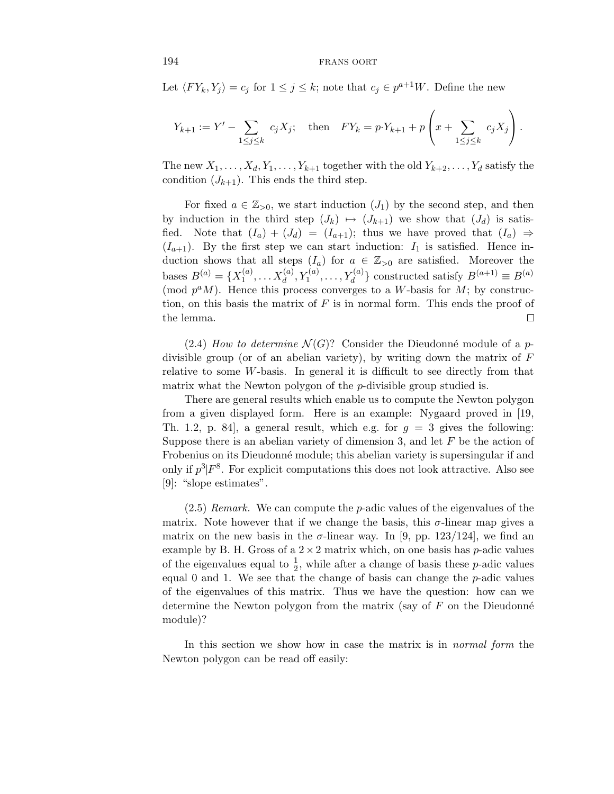Let  $\langle FY_k, Y_j \rangle = c_j$  for  $1 \leq j \leq k$ ; note that  $c_j \in p^{a+1}W$ . Define the new

$$
Y_{k+1} := Y' - \sum_{1 \le j \le k} c_j X_j
$$
; then  $FY_k = p \cdot Y_{k+1} + p \left( x + \sum_{1 \le j \le k} c_j X_j \right)$ .

The new  $X_1, \ldots, X_d, Y_1, \ldots, Y_{k+1}$  together with the old  $Y_{k+2}, \ldots, Y_d$  satisfy the condition  $(J_{k+1})$ . This ends the third step.

For fixed  $a \in \mathbb{Z}_{>0}$ , we start induction  $(J_1)$  by the second step, and then by induction in the third step  $(J_k) \mapsto (J_{k+1})$  we show that  $(J_d)$  is satisfied. Note that  $(I_a) + (J_d) = (I_{a+1})$ ; thus we have proved that  $(I_a) \Rightarrow$  $(I_{a+1})$ . By the first step we can start induction:  $I_1$  is satisfied. Hence induction shows that all steps  $(I_a)$  for  $a \in \mathbb{Z}_{>0}$  are satisfied. Moreover the  $B^{(a)} = \{X_1^{(a)}, \ldots X_d^{(a)}, Y_1^{(a)}, \ldots, Y_d^{(a)}\}$  constructed satisfy  $B^{(a+1)} \equiv B^{(a)}$ (mod  $p^a M$ ). Hence this process converges to a *W*-basis for *M*; by construction, on this basis the matrix of *F* is in normal form. This ends the proof of the lemma.  $\Box$ 

(2.4) How to determine  $\mathcal{N}(G)$ ? Consider the Dieudonné module of a *p*divisible group (or of an abelian variety), by writing down the matrix of *F* relative to some *W*-basis. In general it is difficult to see directly from that matrix what the Newton polygon of the *p*-divisible group studied is.

There are general results which enable us to compute the Newton polygon from a given displayed form. Here is an example: Nygaard proved in [19, Th. 1.2, p. 84, a general result, which e.g. for  $g = 3$  gives the following: Suppose there is an abelian variety of dimension 3, and let *F* be the action of Frobenius on its Dieudonné module; this abelian variety is supersingular if and only if  $p^3|F^8$ . For explicit computations this does not look attractive. Also see [9]: "slope estimates".

(2.5) Remark. We can compute the *p*-adic values of the eigenvalues of the matrix. Note however that if we change the basis, this  $\sigma$ -linear map gives a matrix on the new basis in the  $\sigma$ -linear way. In [9, pp. 123/124], we find an example by B. H. Gross of a  $2 \times 2$  matrix which, on one basis has *p*-adic values of the eigenvalues equal to  $\frac{1}{2}$ , while after a change of basis these *p*-adic values equal 0 and 1. We see that the change of basis can change the *p*-adic values of the eigenvalues of this matrix. Thus we have the question: how can we determine the Newton polygon from the matrix (say of  $F$  on the Dieudonné module)?

In this section we show how in case the matrix is in *normal form* the Newton polygon can be read off easily: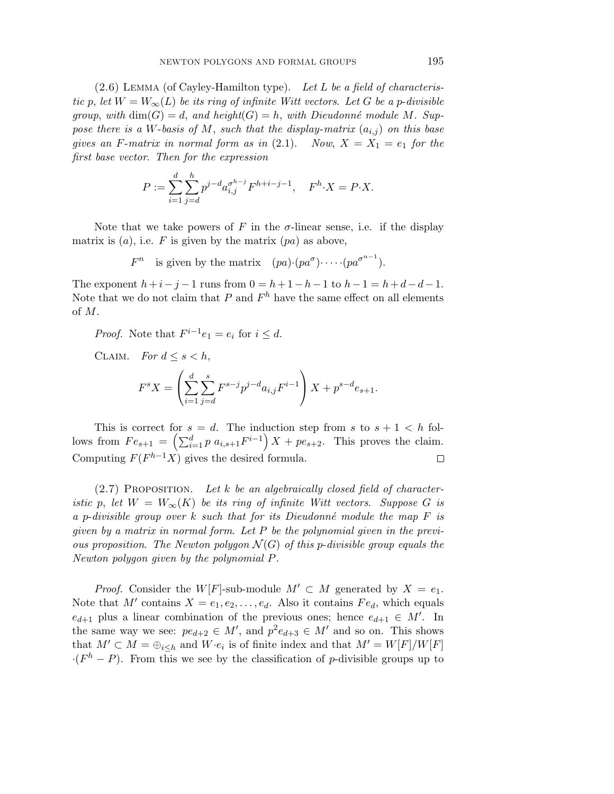(2.6) Lemma (of Cayley-Hamilton type). Let *L* be a field of characteristic p, let  $W = W_{\infty}(L)$  be its ring of infinite Witt vectors. Let G be a p-divisible group, with  $\dim(G) = d$ , and  $height(G) = h$ , with Dieudonné module M. Suppose there is a W-basis of M, such that the display-matrix  $(a_{i,j})$  on this base gives an *F*-matrix in normal form as in  $(2.1)$ . Now,  $X = X_1 = e_1$  for the first base vector. Then for the expression

$$
P := \sum_{i=1}^{d} \sum_{j=d}^{h} p^{j-d} a_{i,j}^{\sigma^{h-j}} F^{h+i-j-1}, \quad F^{h} \cdot X = P \cdot X.
$$

Note that we take powers of  $F$  in the  $\sigma$ -linear sense, i.e. if the display matrix is  $(a)$ , i.e. F is given by the matrix  $(pa)$  as above,

 $F^n$  is given by the matrix  $(pa) \cdot (pa^{\sigma}) \cdot \cdots \cdot (pa^{\sigma^{n-1}})$ .

The exponent  $h + i - j - 1$  runs from  $0 = h + 1 - h - 1$  to  $h - 1 = h + d - d - 1$ . Note that we do not claim that  $P$  and  $F^h$  have the same effect on all elements of *M*.

*Proof.* Note that  $F^{i-1}e_1 = e_i$  for  $i \leq d$ .

CLAIM. For 
$$
d \le s < h
$$
,  
\n
$$
F^s X = \left( \sum_{i=1}^d \sum_{j=d}^s F^{s-j} p^{j-d} a_{i,j} F^{i-1} \right) X + p^{s-d} e_{s+1}.
$$

This is correct for  $s = d$ . The induction step from  $s$  to  $s + 1 < h$  follows from  $Fe_{s+1} = \left(\sum_{i=1}^d p a_{i,s+1} F^{i-1}\right) X + pe_{s+2}$ . This proves the claim. Computing  $F(F^{h-1}X)$  gives the desired formula.  $\Box$ 

(2.7) Proposition. Let *k* be an algebraically closed field of characteristic p, let  $W = W_{\infty}(K)$  be its ring of infinite Witt vectors. Suppose G is a *p*-divisible group over *k* such that for its Dieudonné module the map *F* is given by a matrix in normal form. Let *P* be the polynomial given in the previous proposition. The Newton polygon  $\mathcal{N}(G)$  of this *p*-divisible group equals the Newton polygon given by the polynomial *P*.

*Proof.* Consider the *W*[*F*]-sub-module  $M' \subset M$  generated by  $X = e_1$ . Note that *M*<sup> $\prime$ </sup> contains  $X = e_1, e_2, \ldots, e_d$ . Also it contains  $Fe_d$ , which equals  $e_{d+1}$  plus a linear combination of the previous ones; hence  $e_{d+1} \in M'$ . In the same way we see:  $pe_{d+2} \in M'$ , and  $p^2e_{d+3} \in M'$  and so on. This shows that  $M' \subset M = \bigoplus_{i \leq h}$  and  $W \cdot e_i$  is of finite index and that  $M' = W[F]/W[F]$  $\cdot$ ( $F<sup>h</sup> - P$ ). From this we see by the classification of *p*-divisible groups up to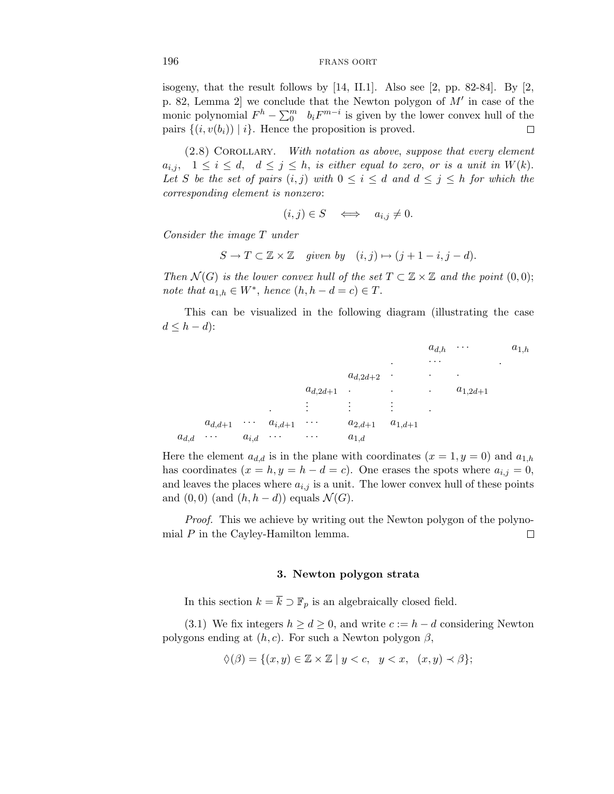isogeny, that the result follows by  $[14, II.1]$ . Also see  $[2, pp. 82-84]$ . By  $[2,$ p. 82, Lemma 2 we conclude that the Newton polygon of  $M'$  in case of the monic polynomial  $F^h - \sum_{0}^{m} b_i F^{m-i}$  is given by the lower convex hull of the pairs  $\{(i, v(b_i)) \mid i\}$ . Hence the proposition is proved.  $\Box$ 

 $(2.8)$  COROLLARY. With notation as above, suppose that every element  $a_{i,j}$ ,  $1 \leq i \leq d$ ,  $d \leq j \leq h$ , is either equal to zero, or is a unit in  $W(k)$ . Let *S* be the set of pairs  $(i, j)$  with  $0 \leq i \leq d$  and  $d \leq j \leq h$  for which the corresponding element is nonzero:

$$
(i,j) \in S \iff a_{i,j} \neq 0.
$$

Consider the image *T* under

$$
S \to T \subset \mathbb{Z} \times \mathbb{Z} \quad given \; by \quad (i,j) \mapsto (j+1-i, j-d).
$$

Then  $\mathcal{N}(G)$  is the lower convex hull of the set  $T \subset \mathbb{Z} \times \mathbb{Z}$  and the point  $(0,0)$ ; note that  $a_{1,h} \in W^*$ , hence  $(h, h - d = c) \in T$ .

This can be visualized in the following diagram (illustrating the case  $d \leq h - d$ :

|           |             |           |             |              |                             |                           | $a_{d,h}$ | $\cdots$     | $a_{1,h}$ |  |
|-----------|-------------|-----------|-------------|--------------|-----------------------------|---------------------------|-----------|--------------|-----------|--|
|           |             |           |             |              |                             | ٠                         | $\cdots$  |              | ٠         |  |
|           |             |           |             |              | $a_{d,2d+2}$                | $\bullet$                 | ٠         | ٠            |           |  |
|           |             |           |             | $a_{d,2d+1}$ | $\blacksquare$ .            | $\bullet$                 | ٠         | $a_{1,2d+1}$ |           |  |
|           |             |           | $\bullet$   | ٠<br>٠<br>٠  | ٠<br>$\bullet$<br>$\bullet$ | ٠<br>$\cdot$<br>$\bullet$ | ٠         |              |           |  |
|           | $a_{d,d+1}$ | $\cdots$  | $a_{i,d+1}$ | $\cdots$     | $a_{2,d+1}$                 | $a_{1,d+1}$               |           |              |           |  |
| $a_{d,d}$ | $\cdots$    | $a_{i,d}$ | $\cdots$    | $\cdots$     | $a_{1,d}$                   |                           |           |              |           |  |

Here the element  $a_{d,d}$  is in the plane with coordinates  $(x = 1, y = 0)$  and  $a_{1,h}$ has coordinates  $(x = h, y = h - d = c)$ . One erases the spots where  $a_{i,j} = 0$ , and leaves the places where  $a_{i,j}$  is a unit. The lower convex hull of these points and  $(0,0)$  (and  $(h, h - d)$ ) equals  $\mathcal{N}(G)$ .

Proof. This we achieve by writing out the Newton polygon of the polynomial *P* in the Cayley-Hamilton lemma.  $\Box$ 

#### **3. Newton polygon strata**

In this section  $k = \overline{k} \supset \mathbb{F}_p$  is an algebraically closed field.

(3.1) We fix integers  $h \geq d \geq 0$ , and write  $c := h - d$  considering Newton polygons ending at  $(h, c)$ . For such a Newton polygon  $\beta$ ,

$$
\Diamond(\beta) = \{(x, y) \in \mathbb{Z} \times \mathbb{Z} \mid y < c, \ y < x, \ (x, y) \prec \beta\};
$$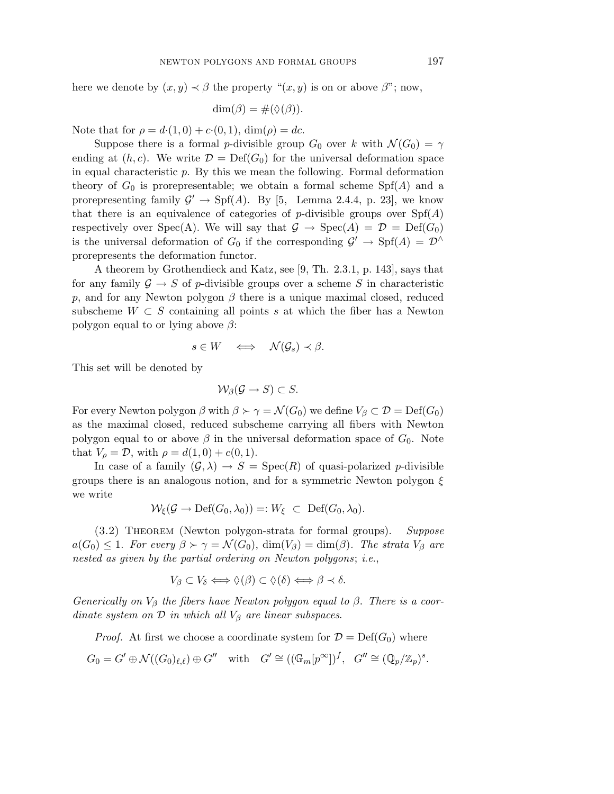here we denote by  $(x, y) \prec \beta$  the property " $(x, y)$  is on or above  $\beta$ "; now,

$$
\dim(\beta) = \#(\Diamond(\beta)).
$$

Note that for  $\rho = d \cdot (1,0) + c \cdot (0,1)$ ,  $\dim(\rho) = dc$ .

Suppose there is a formal *p*-divisible group  $G_0$  over *k* with  $\mathcal{N}(G_0) = \gamma$ ending at  $(h, c)$ . We write  $\mathcal{D} = \text{Def}(G_0)$  for the universal deformation space in equal characteristic *p*. By this we mean the following. Formal deformation theory of  $G_0$  is prorepresentable; we obtain a formal scheme  $Spf(A)$  and a prorepresenting family  $\mathcal{G}' \to \mathrm{Spf}(A)$ . By [5, Lemma 2.4.4, p. 23], we know that there is an equivalence of categories of *p*-divisible groups over  $Spf(A)$ respectively over  $Spec(A)$ . We will say that  $\mathcal{G} \to Spec(A) = \mathcal{D} = Def(G_0)$ is the universal deformation of  $G_0$  if the corresponding  $\mathcal{G}' \to \text{Spf}(A) = \mathcal{D}^{\wedge}$ prorepresents the deformation functor.

A theorem by Grothendieck and Katz, see [9, Th. 2.3.1, p. 143], says that for any family  $\mathcal{G} \to S$  of *p*-divisible groups over a scheme *S* in characteristic *p*, and for any Newton polygon  $\beta$  there is a unique maximal closed, reduced subscheme  $W \subset S$  containing all points *s* at which the fiber has a Newton polygon equal to or lying above *β*:

$$
s \in W \quad \Longleftrightarrow \quad \mathcal{N}(\mathcal{G}_s) \prec \beta.
$$

This set will be denoted by

$$
\mathcal{W}_{\beta}(\mathcal{G} \to S) \subset S.
$$

For every Newton polygon  $\beta$  with  $\beta \succ \gamma = \mathcal{N}(G_0)$  we define  $V_\beta \subset \mathcal{D} = \text{Def}(G_0)$ as the maximal closed, reduced subscheme carrying all fibers with Newton polygon equal to or above  $\beta$  in the universal deformation space of  $G_0$ . Note that  $V_{\rho} = \mathcal{D}$ , with  $\rho = d(1,0) + c(0,1)$ .

In case of a family  $(\mathcal{G}, \lambda) \to S = \text{Spec}(R)$  of quasi-polarized *p*-divisible groups there is an analogous notion, and for a symmetric Newton polygon *ξ* we write

$$
\mathcal{W}_{\xi}(\mathcal{G} \to \mathrm{Def}(G_0, \lambda_0)) =: W_{\xi} \subset \mathrm{Def}(G_0, \lambda_0).
$$

 $(3.2)$  THEOREM (Newton polygon-strata for formal groups). Suppose  $a(G_0) \leq 1$ . For every  $\beta \succ \gamma = \mathcal{N}(G_0)$ ,  $\dim(V_\beta) = \dim(\beta)$ . The strata  $V_\beta$  are nested as given by the partial ordering on Newton polygons; i.e.,

$$
V_{\beta} \subset V_{\delta} \Longleftrightarrow \Diamond(\beta) \subset \Diamond(\delta) \Longleftrightarrow \beta \prec \delta.
$$

Generically on *V<sup>β</sup>* the fibers have Newton polygon equal to *β*. There is a coordinate system on  $\mathcal D$  in which all  $V_\beta$  are linear subspaces.

*Proof.* At first we choose a coordinate system for  $\mathcal{D} = \text{Def}(G_0)$  where

$$
G_0 = G' \oplus \mathcal{N}((G_0)_{\ell,\ell}) \oplus G''
$$
 with  $G' \cong ((\mathbb{G}_m[p^\infty])^f, G'' \cong (\mathbb{Q}_p/\mathbb{Z}_p)^s$ .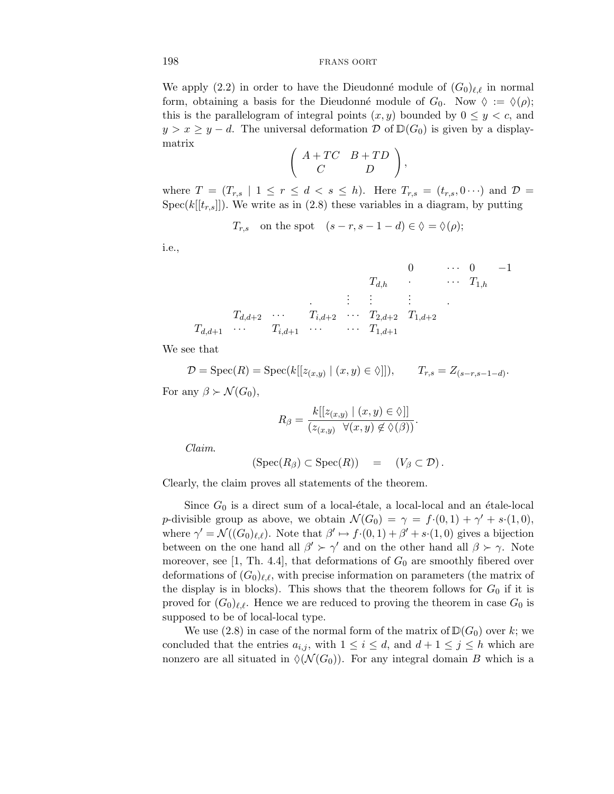We apply (2.2) in order to have the Dieudonné module of  $(G_0)_{\ell,\ell}$  in normal form, obtaining a basis for the Dieudonné module of  $G_0$ . Now  $\Diamond := \Diamond(\rho)$ ; this is the parallelogram of integral points  $(x, y)$  bounded by  $0 \le y < c$ , and  $y > x \geq y - d$ . The universal deformation D of  $\mathbb{D}(G_0)$  is given by a displaymatrix

$$
\left(\begin{array}{cc}A+TC & B+TD\\ C & D\end{array}\right),
$$

where  $T = (T_{r,s} \mid 1 \leq r \leq d < s \leq h)$ . Here  $T_{r,s} = (t_{r,s}, 0 \cdots)$  and  $\mathcal{D} =$  $Spec(k[[t_{r,s}]])$ . We write as in (2.8) these variables in a diagram, by putting

$$
T_{r,s}
$$
 on the spot  $(s-r, s-1-d) \in \Diamond = \Diamond(\rho);$ 

i.e.,

0 ··· 0 −1 *Td,h* · ··· *T*1*,h .* . . . . . . . . . *. Td,d*+2 ··· *Ti,d*+2 ··· *T*2*,d*+2 *T*1*,d*+2 *Td,d*+1 ··· *Ti,d*+1 ··· ··· *T*1*,d*+1

We see that

 $\mathcal{D} = \text{Spec}(R) = \text{Spec}(k[[z_{(x,y)} | (x,y) \in \Diamond$ ]]),  $T_{r,s} = Z_{(s-r,s-1-d)}$ . For any  $\beta \succ \mathcal{N}(G_0)$ ,

$$
R_{\beta} = \frac{k[[z_{(x,y)} \mid (x,y) \in \Diamond]]}{(z_{(x,y)} \ \forall (x,y) \notin \Diamond(\beta))}.
$$

Claim.

$$
(\operatorname{Spec}(R_{\beta}) \subset \operatorname{Spec}(R)) = (V_{\beta} \subset \mathcal{D}).
$$

Clearly, the claim proves all statements of the theorem.

Since  $G_0$  is a direct sum of a local-étale, a local-local and an étale-local *p*-divisible group as above, we obtain  $\mathcal{N}(G_0) = \gamma = f \cdot (0,1) + \gamma' + s \cdot (1,0),$ where  $\gamma' = \mathcal{N}((G_0)_{\ell,\ell})$ . Note that  $\beta' \mapsto f \cdot (0,1) + \beta' + s \cdot (1,0)$  gives a bijection between on the one hand all  $\beta' \succ \gamma'$  and on the other hand all  $\beta \succ \gamma$ . Note moreover, see [1, Th. 4.4], that deformations of  $G_0$  are smoothly fibered over deformations of  $(G_0)_{\ell,\ell}$ , with precise information on parameters (the matrix of the display is in blocks). This shows that the theorem follows for  $G_0$  if it is proved for  $(G_0)_{\ell,\ell}$ . Hence we are reduced to proving the theorem in case  $G_0$  is supposed to be of local-local type.

We use  $(2.8)$  in case of the normal form of the matrix of  $\mathbb{D}(G_0)$  over k; we concluded that the entries  $a_{i,j}$ , with  $1 \leq i \leq d$ , and  $d+1 \leq j \leq h$  which are nonzero are all situated in  $\Diamond(\mathcal{N}(G_0))$ . For any integral domain *B* which is a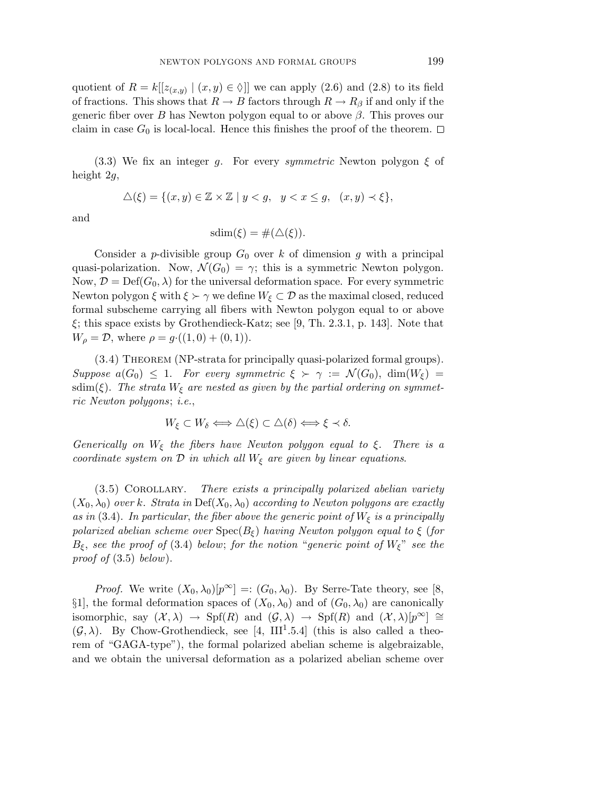quotient of  $R = k[[z_{(x,y)} | (x,y) \in \Diamond]]$  we can apply (2.6) and (2.8) to its field of fractions. This shows that  $R \to B$  factors through  $R \to R_\beta$  if and only if the generic fiber over *B* has Newton polygon equal to or above *β*. This proves our claim in case  $G_0$  is local-local. Hence this finishes the proof of the theorem.  $\Box$ 

(3.3) We fix an integer *g*. For every symmetric Newton polygon *ξ* of height 2*g*,

$$
\triangle(\xi) = \{(x, y) \in \mathbb{Z} \times \mathbb{Z} \mid y < g, \ y < x \le g, \ (x, y) \prec \xi\},
$$

and

$$
sdim(\xi) = \#(\triangle(\xi)).
$$

Consider a *p*-divisible group  $G_0$  over *k* of dimension *g* with a principal quasi-polarization. Now,  $\mathcal{N}(G_0) = \gamma$ ; this is a symmetric Newton polygon. Now,  $\mathcal{D} = \text{Def}(G_0, \lambda)$  for the universal deformation space. For every symmetric Newton polygon  $\xi$  with  $\xi \succ \gamma$  we define  $W_{\xi} \subset \mathcal{D}$  as the maximal closed, reduced formal subscheme carrying all fibers with Newton polygon equal to or above *ξ*; this space exists by Grothendieck-Katz; see [9, Th. 2.3.1, p. 143]. Note that  $W_{\rho} = \mathcal{D}$ , where  $\rho = g \cdot ((1,0) + (0,1)).$ 

(3.4) Theorem (NP-strata for principally quasi-polarized formal groups).  $Suppose \, a(G_0) \leq 1$ . For every symmetric  $\xi \succ \gamma := \mathcal{N}(G_0)$ ,  $\dim(W_\xi) =$ sdim( $\xi$ ). The strata  $W_{\xi}$  are nested as given by the partial ordering on symmetric Newton polygons; i.e.,

$$
W_{\xi} \subset W_{\delta} \Longleftrightarrow \triangle(\xi) \subset \triangle(\delta) \Longleftrightarrow \xi \prec \delta.
$$

Generically on *W<sup>ξ</sup>* the fibers have Newton polygon equal to *ξ*. There is a coordinate system on  $\mathcal D$  in which all  $W_{\xi}$  are given by linear equations.

(3.5) Corollary. There exists a principally polarized abelian variety  $(X_0, \lambda_0)$  over *k*. Strata in Def $(X_0, \lambda_0)$  according to Newton polygons are exactly as in (3.4). In particular, the fiber above the generic point of  $W_{\xi}$  is a principally polarized abelian scheme over  $Spec(B_{\xi})$  having Newton polygon equal to  $\xi$  (for *B*<sub>ξ</sub>, see the proof of (3.4) below; for the notion "generic point of  $W_\xi$ " see the proof of  $(3.5)$  below).

*Proof.* We write  $(X_0, \lambda_0)[p^{\infty}] =: (G_0, \lambda_0)$ . By Serre-Tate theory, see [8, §1], the formal deformation spaces of  $(X_0, \lambda_0)$  and of  $(G_0, \lambda_0)$  are canonically isomorphic, say  $(\mathcal{X}, \lambda) \rightarrow Spf(R)$  and  $(\mathcal{G}, \lambda) \rightarrow Spf(R)$  and  $(\mathcal{X}, \lambda)[p^{\infty}] \cong$  $(\mathcal{G}, \lambda)$ . By Chow-Grothendieck, see [4, III<sup>1</sup>.5.4] (this is also called a theorem of "GAGA-type"), the formal polarized abelian scheme is algebraizable, and we obtain the universal deformation as a polarized abelian scheme over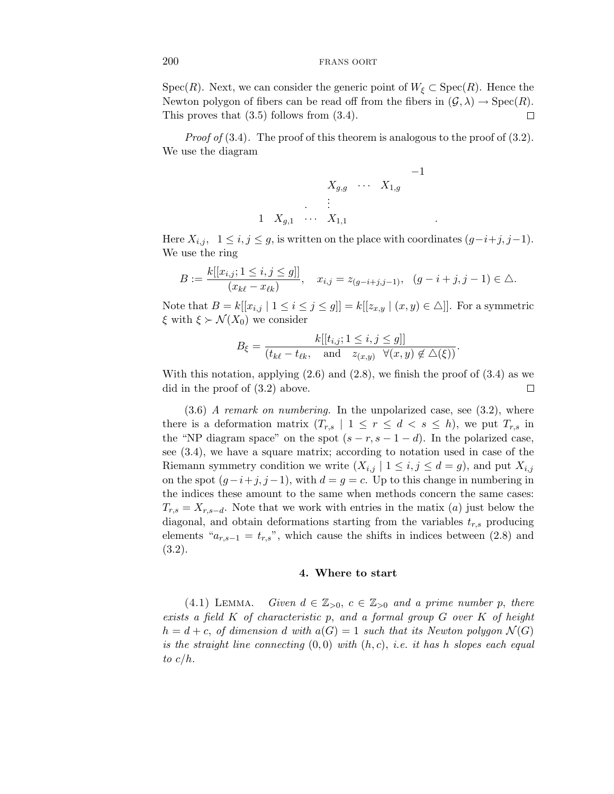$Spec(R)$ . Next, we can consider the generic point of  $W_{\xi} \subset Spec(R)$ . Hence the Newton polygon of fibers can be read off from the fibers in  $(\mathcal{G}, \lambda) \to \operatorname{Spec}(R)$ . This proves that (3.5) follows from (3.4).  $\Box$ 

*Proof of*  $(3.4)$ . The proof of this theorem is analogous to the proof of  $(3.2)$ . We use the diagram

−1

*Xg,g* ··· *X*1*,g .* . . . 1 *Xg,*<sup>1</sup> ··· *X*1*,*<sup>1</sup> *.*

Here  $X_{i,j}$ ,  $1 \leq i, j \leq g$ , is written on the place with coordinates  $(g-i+j, j-1)$ . We use the ring

$$
B := \frac{k[[x_{i,j}; 1 \le i, j \le g]]}{(x_{k\ell} - x_{\ell k})}, \quad x_{i,j} = z_{(g-i+j,j-1)}, \quad (g-i+j, j-1) \in \triangle.
$$

Note that  $B = k[[x_{i,j} | 1 \leq i \leq j \leq g]] = k[[z_{x,y} | (x,y) \in \triangle]]$ . For a symmetric *ξ* with  $\xi > \mathcal{N}(X_0)$  we consider

$$
B_{\xi} = \frac{k[[t_{i,j}; 1 \leq i, j \leq g]]}{(t_{k\ell} - t_{\ell k}, \text{ and } z_{(x,y)} \ \forall (x, y) \notin \Delta(\xi))}.
$$

With this notation, applying  $(2.6)$  and  $(2.8)$ , we finish the proof of  $(3.4)$  as we did in the proof of (3.2) above. 口

 $(3.6)$  A remark on numbering. In the unpolarized case, see  $(3.2)$ , where there is a deformation matrix  $(T_{r,s} | 1 \leq r \leq d < s \leq h)$ , we put  $T_{r,s}$  in the "NP diagram space" on the spot  $(s - r, s - 1 - d)$ . In the polarized case, see (3.4), we have a square matrix; according to notation used in case of the Riemann symmetry condition we write  $(X_{i,j} | 1 \leq i, j \leq d = g)$ , and put  $X_{i,j}$ on the spot  $(g-i+j, j-1)$ , with  $d = g = c$ . Up to this change in numbering in the indices these amount to the same when methods concern the same cases:  $T_{r,s} = X_{r,s-d}$ . Note that we work with entries in the matix (*a*) just below the diagonal, and obtain deformations starting from the variables *tr,s* producing elements " $a_{r,s-1} = t_{r,s}$ ", which cause the shifts in indices between (2.8) and (3.2).

### **4. Where to start**

(4.1) LEMMA. Given  $d \in \mathbb{Z}_{>0}$ ,  $c \in \mathbb{Z}_{>0}$  and a prime number p, there exists a field *K* of characteristic *p*, and a formal group *G* over *K* of height  $h = d + c$ , of dimension *d* with  $a(G) = 1$  such that its Newton polygon  $\mathcal{N}(G)$ is the straight line connecting  $(0,0)$  with  $(h, c)$ , *i.e.* it has *h* slopes each equal to *c/h*.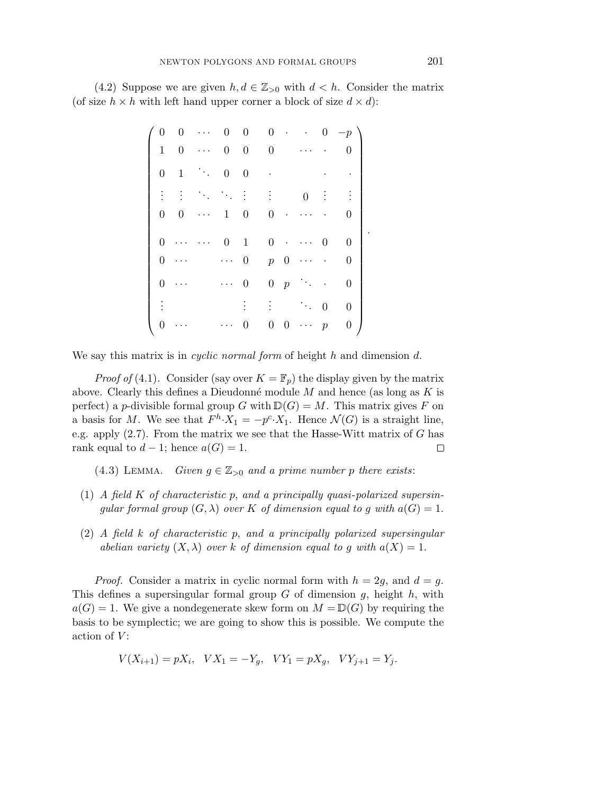(4.2) Suppose we are given  $h, d \in \mathbb{Z}_{>0}$  with  $d < h$ . Consider the matrix (of size  $h \times h$  with left hand upper corner a block of size  $d \times d$ ):

|  |                                            |                                                                                   |  |  |                           |                | $\begin{bmatrix} 0 & 0 & \cdots & 0 & 0 & 0 & \cdots & 0 & -p \\ 1 & 0 & \cdots & 0 & 0 & 0 & \cdots & 0 \end{bmatrix}$  |
|--|--------------------------------------------|-----------------------------------------------------------------------------------|--|--|---------------------------|----------------|--------------------------------------------------------------------------------------------------------------------------|
|  |                                            | $0 \quad 1 \quad \ddots \quad 0 \quad 0$                                          |  |  |                           |                | $\label{eq:2} \mathcal{L}(\mathcal{A}) = \mathcal{L}(\mathcal{A}) = \mathcal{L}(\mathcal{A}) = \mathcal{L}(\mathcal{A})$ |
|  |                                            |                                                                                   |  |  |                           |                |                                                                                                                          |
|  |                                            | $\begin{matrix} 0 & 0 & \cdots & 1 & 0 & 0 & \cdot & \cdots & \cdot \end{matrix}$ |  |  |                           |                | $\begin{matrix} 0 \end{matrix}$                                                                                          |
|  |                                            |                                                                                   |  |  |                           |                | $0 \cdots \cdots \quad 0 \quad 1 \quad 0 \quad \cdots \quad 0 \quad 0$                                                   |
|  |                                            |                                                                                   |  |  |                           |                | $0 \cdots \cdots 0 \quad p \quad 0 \cdots \cdots 0$                                                                      |
|  | $\begin{pmatrix} 0 & \cdots \end{pmatrix}$ | $\cdots$ 0                                                                        |  |  | $0 \quad p \quad \cdots$  |                | $\begin{matrix} 0 \end{matrix}$                                                                                          |
|  |                                            |                                                                                   |  |  | 4. 4. 万元                  | $\overline{0}$ | $\begin{matrix} 0 \end{matrix}$                                                                                          |
|  | $0 \cdots$                                 |                                                                                   |  |  | $\cdots$ 0 0 0 $\cdots$ p |                | $\begin{pmatrix} 0 \end{pmatrix}$                                                                                        |

We say this matrix is in cyclic normal form of height *h* and dimension *d*.

*Proof of* (4.1). Consider (say over  $K = \mathbb{F}_p$ ) the display given by the matrix above. Clearly this defines a Dieudonné module  $M$  and hence (as long as  $K$  is perfect) a *p*-divisible formal group *G* with  $D(G) = M$ . This matrix gives *F* on a basis for *M*. We see that  $F^h \cdot X_1 = -p^c \cdot X_1$ . Hence  $\mathcal{N}(G)$  is a straight line, e.g. apply (2.7). From the matrix we see that the Hasse-Witt matrix of *G* has rank equal to  $d-1$ ; hence  $a(G) = 1$ .  $\Box$ 

(4.3) LEMMA. Given  $q \in \mathbb{Z}_{>0}$  and a prime number p there exists:

- (1) A field *K* of characteristic *p*, and a principally quasi-polarized supersingular formal group  $(G, \lambda)$  over K of dimension equal to g with  $a(G) = 1$ .
- (2) A field *k* of characteristic *p*, and a principally polarized supersingular abelian variety  $(X, \lambda)$  over *k* of dimension equal to *g* with  $a(X) = 1$ .

*Proof.* Consider a matrix in cyclic normal form with  $h = 2g$ , and  $d = g$ . This defines a supersingular formal group *G* of dimension *g*, height *h*, with  $a(G) = 1$ . We give a nondegenerate skew form on  $M = \mathbb{D}(G)$  by requiring the basis to be symplectic; we are going to show this is possible. We compute the action of *V* :

$$
V(X_{i+1}) = pX_i, \quad VX_1 = -Y_g, \quad VY_1 = pX_g, \quad VY_{j+1} = Y_j.
$$

*.*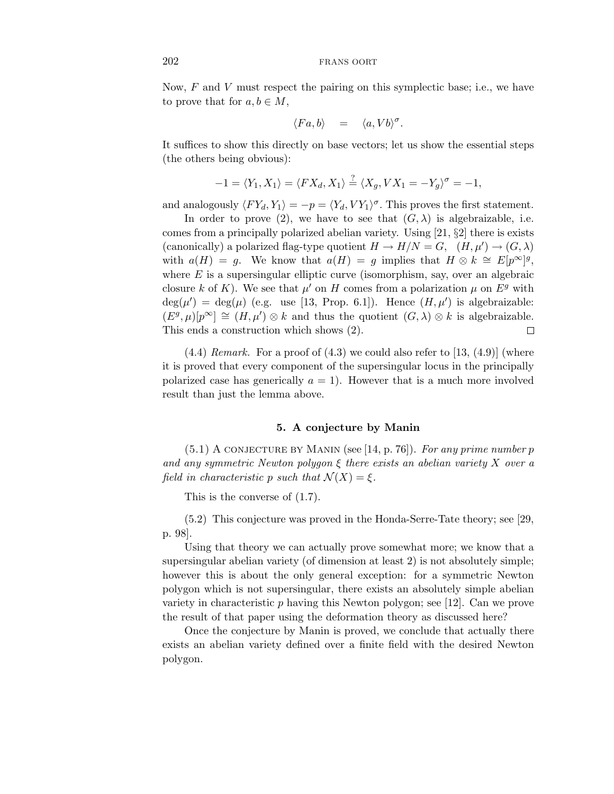Now, *F* and *V* must respect the pairing on this symplectic base; i.e., we have to prove that for  $a, b \in M$ ,

$$
\langle Fa, b \rangle = \langle a, Vb \rangle^{\sigma}.
$$

It suffices to show this directly on base vectors; let us show the essential steps (the others being obvious):

$$
-1 = \langle Y_1, X_1 \rangle = \langle FX_d, X_1 \rangle \stackrel{?}{=} \langle X_g, VX_1 = -Y_g \rangle^{\sigma} = -1,
$$

and analogously  $\langle FY_d, Y_1 \rangle = -p = \langle Y_d, VY_1 \rangle^{\sigma}$ . This proves the first statement.

In order to prove (2), we have to see that  $(G, \lambda)$  is algebraizable, i.e. comes from a principally polarized abelian variety. Using [21, §2] there is exists (canonically) a polarized flag-type quotient  $H \to H/N = G$ ,  $(H, \mu') \to (G, \lambda)$ with  $a(H) = g$ . We know that  $a(H) = g$  implies that  $H \otimes k \cong E[p^{\infty}]^g$ , where *E* is a supersingular elliptic curve (isomorphism, say, over an algebraic closure *k* of *K*). We see that  $\mu'$  on *H* comes from a polarization  $\mu$  on  $E<sup>g</sup>$  with  $deg(\mu') = deg(\mu)$  (e.g. use [13, Prop. 6.1]). Hence  $(H, \mu')$  is algebraizable:  $(E^g, \mu)[p^{\infty}] \cong (H, \mu') \otimes k$  and thus the quotient  $(G, \lambda) \otimes k$  is algebraizable. This ends a construction which shows (2).  $\Box$ 

 $(4.4)$  Remark. For a proof of  $(4.3)$  we could also refer to  $[13, (4.9)]$  (where it is proved that every component of the supersingular locus in the principally polarized case has generically  $a = 1$ ). However that is a much more involved result than just the lemma above.

# **5. A conjecture by Manin**

(5.1) A conjecture by Manin (see [14, p. 76]). For any prime number *p* and any symmetric Newton polygon *ξ* there exists an abelian variety *X* over a field in characteristic *p* such that  $\mathcal{N}(X) = \xi$ .

This is the converse of (1.7).

(5.2) This conjecture was proved in the Honda-Serre-Tate theory; see [29, p. 98].

Using that theory we can actually prove somewhat more; we know that a supersingular abelian variety (of dimension at least 2) is not absolutely simple; however this is about the only general exception: for a symmetric Newton polygon which is not supersingular, there exists an absolutely simple abelian variety in characteristic *p* having this Newton polygon; see [12]. Can we prove the result of that paper using the deformation theory as discussed here?

Once the conjecture by Manin is proved, we conclude that actually there exists an abelian variety defined over a finite field with the desired Newton polygon.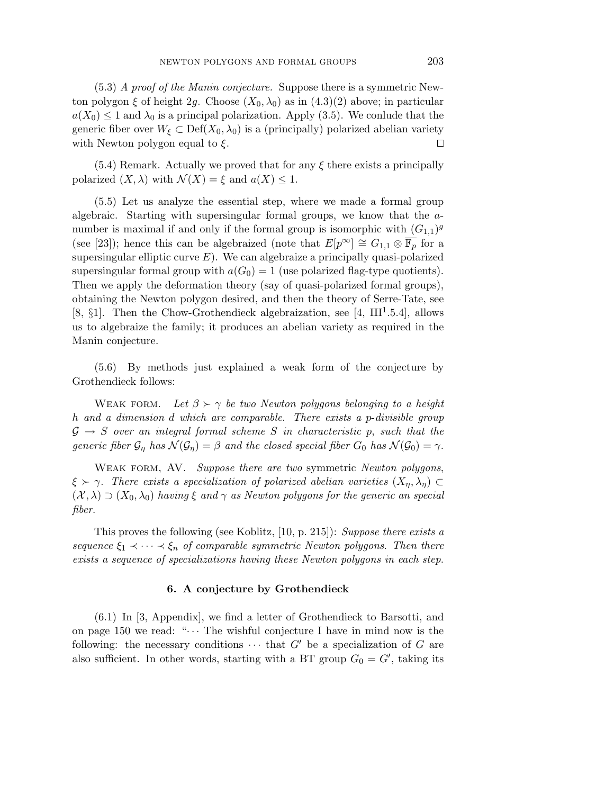(5.3) A proof of the Manin conjecture. Suppose there is a symmetric Newton polygon  $\xi$  of height 2*g*. Choose  $(X_0, \lambda_0)$  as in  $(4.3)(2)$  above; in particular  $a(X_0) \leq 1$  and  $\lambda_0$  is a principal polarization. Apply (3.5). We conlude that the generic fiber over  $W_{\xi} \subset \text{Def}(X_0, \lambda_0)$  is a (principally) polarized abelian variety with Newton polygon equal to *ξ*.  $\Box$ 

(5.4) Remark. Actually we proved that for any *ξ* there exists a principally polarized  $(X, \lambda)$  with  $\mathcal{N}(X) = \xi$  and  $a(X) \leq 1$ .

(5.5) Let us analyze the essential step, where we made a formal group algebraic. Starting with supersingular formal groups, we know that the *a*number is maximal if and only if the formal group is isomorphic with  $(G_{1,1})^g$ (see [23]); hence this can be algebraized (note that  $E[p^{\infty}] \cong G_{1,1} \otimes \overline{\mathbb{F}_p}$  for a supersingular elliptic curve *E*). We can algebraize a principally quasi-polarized supersingular formal group with  $a(G_0) = 1$  (use polarized flag-type quotients). Then we apply the deformation theory (say of quasi-polarized formal groups), obtaining the Newton polygon desired, and then the theory of Serre-Tate, see [8,  $\S1$ ]. Then the Chow-Grothendieck algebraization, see [4, III<sup>1</sup>.5.4], allows us to algebraize the family; it produces an abelian variety as required in the Manin conjecture.

(5.6) By methods just explained a weak form of the conjecture by Grothendieck follows:

WEAK FORM. Let  $\beta \succ \gamma$  be two Newton polygons belonging to a height *h* and a dimension *d* which are comparable. There exists a *p*-divisible group  $\mathcal{G} \rightarrow S$  over an integral formal scheme *S* in characteristic *p*, such that the generic fiber  $\mathcal{G}_\eta$  has  $\mathcal{N}(\mathcal{G}_\eta) = \beta$  and the closed special fiber  $G_0$  has  $\mathcal{N}(\mathcal{G}_0) = \gamma$ .

WEAK FORM, AV. Suppose there are two symmetric Newton polygons,  $\xi \succ \gamma$ . There exists a specialization of polarized abelian varieties  $(X_n, \lambda_n)$  $(X, \lambda) \supset (X_0, \lambda_0)$  having  $\xi$  and  $\gamma$  as Newton polygons for the generic an special fiber.

This proves the following (see Koblitz, [10, p. 215]): Suppose there exists a sequence  $\xi_1 \prec \cdots \prec \xi_n$  of comparable symmetric Newton polygons. Then there exists a sequence of specializations having these Newton polygons in each step.

# **6. A conjecture by Grothendieck**

(6.1) In [3, Appendix], we find a letter of Grothendieck to Barsotti, and on page 150 we read: " $\cdots$  The wishful conjecture I have in mind now is the following: the necessary conditions  $\cdots$  that  $G'$  be a specialization of  $G$  are also sufficient. In other words, starting with a BT group  $G_0 = G'$ , taking its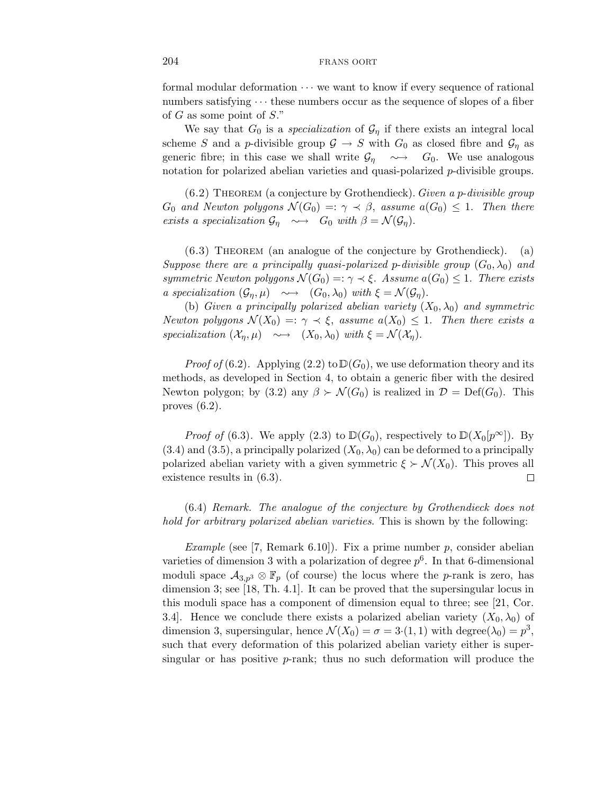formal modular deformation  $\cdots$  we want to know if every sequence of rational numbers satisfying  $\cdots$  these numbers occur as the sequence of slopes of a fiber of *G* as some point of *S*."

We say that  $G_0$  is a *specialization* of  $\mathcal{G}_\eta$  if there exists an integral local scheme *S* and a *p*-divisible group  $\mathcal{G} \to S$  with  $G_0$  as closed fibre and  $\mathcal{G}_\eta$  as generic fibre; in this case we shall write  $\mathcal{G}_{\eta} \longrightarrow G_0$ . We use analogous notation for polarized abelian varieties and quasi-polarized *p*-divisible groups.

(6.2) Theorem (a conjecture by Grothendieck). Given a *p*-divisible group *G*<sub>0</sub> and Newton polygons  $\mathcal{N}(G_0) =: \gamma \prec \beta$ , assume  $a(G_0) \leq 1$ . Then there exists a specialization  $\mathcal{G}_{\eta} \longrightarrow G_0$  with  $\beta = \mathcal{N}(\mathcal{G}_{\eta}).$ 

 $(6.3)$  THEOREM (an analogue of the conjecture by Grothendieck). (a) Suppose there are a principally quasi-polarized *p*-divisible group  $(G_0, \lambda_0)$  and symmetric Newton polygons  $\mathcal{N}(G_0) =: \gamma \prec \xi$ . Assume  $a(G_0) \leq 1$ . There exists a specialization  $(\mathcal{G}_{\eta}, \mu) \longrightarrow (G_0, \lambda_0)$  with  $\xi = \mathcal{N}(\mathcal{G}_{\eta}).$ 

(b) Given a principally polarized abelian variety  $(X_0, \lambda_0)$  and symmetric Newton polygons  $\mathcal{N}(X_0) =: \gamma \prec \xi$ , assume  $a(X_0) \leq 1$ . Then there exists a  $specialization (\mathcal{X}_\eta, \mu) \longrightarrow (X_0, \lambda_0) with \xi = \mathcal{N}(\mathcal{X}_\eta).$ 

*Proof of* (6.2). Applying (2.2) to  $\mathbb{D}(G_0)$ , we use deformation theory and its methods, as developed in Section 4, to obtain a generic fiber with the desired Newton polygon; by (3.2) any  $\beta \succ \mathcal{N}(G_0)$  is realized in  $\mathcal{D} = \text{Def}(G_0)$ . This proves (6.2).

*Proof of* (6.3). We apply (2.3) to  $\mathbb{D}(G_0)$ , respectively to  $\mathbb{D}(X_0[p^\infty])$ . By  $(3.4)$  and  $(3.5)$ , a principally polarized  $(X_0, \lambda_0)$  can be deformed to a principally polarized abelian variety with a given symmetric  $\xi > \mathcal{N}(X_0)$ . This proves all existence results in (6.3). П

(6.4) Remark. The analogue of the conjecture by Grothendieck does not hold for arbitrary polarized abelian varieties. This is shown by the following:

Example (see [7, Remark 6.10]). Fix a prime number *p*, consider abelian varieties of dimension 3 with a polarization of degree  $p^6$ . In that 6-dimensional moduli space  $\mathcal{A}_{3,p^3} \otimes \mathbb{F}_p$  (of course) the locus where the *p*-rank is zero, has dimension 3; see [18, Th. 4.1]. It can be proved that the supersingular locus in this moduli space has a component of dimension equal to three; see [21, Cor. 3.4]. Hence we conclude there exists a polarized abelian variety  $(X_0, \lambda_0)$  of dimension 3, supersingular, hence  $\mathcal{N}(X_0) = \sigma = 3 \cdot (1, 1)$  with degree( $\lambda_0$ ) =  $p^3$ , such that every deformation of this polarized abelian variety either is supersingular or has positive *p*-rank; thus no such deformation will produce the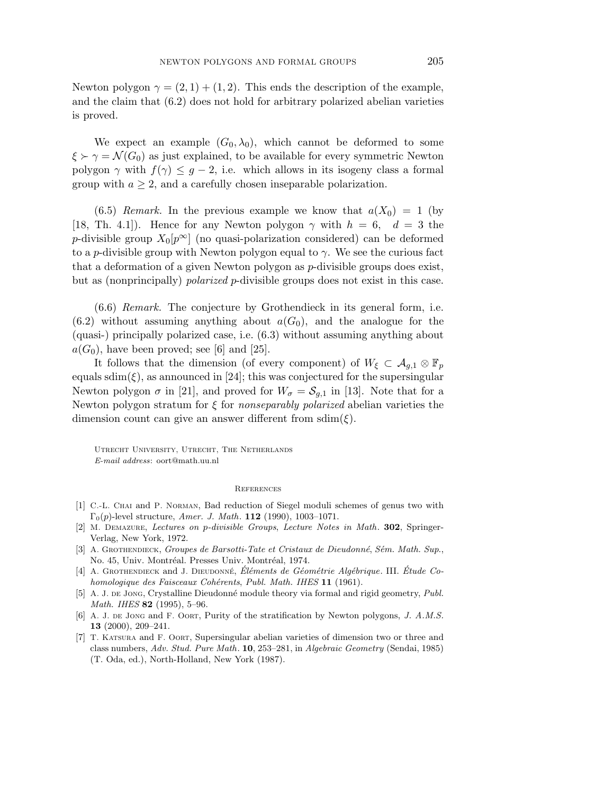Newton polygon  $\gamma = (2, 1) + (1, 2)$ . This ends the description of the example, and the claim that (6.2) does not hold for arbitrary polarized abelian varieties is proved.

We expect an example  $(G_0, \lambda_0)$ , which cannot be deformed to some  $\xi \succ \gamma = \mathcal{N}(G_0)$  as just explained, to be available for every symmetric Newton polygon  $\gamma$  with  $f(\gamma) \leq g - 2$ , i.e. which allows in its isogeny class a formal group with  $a \geq 2$ , and a carefully chosen inseparable polarization.

 $(6.5)$  Remark. In the previous example we know that  $a(X_0) = 1$  (by [18, Th. 4.1]). Hence for any Newton polygon  $\gamma$  with  $h = 6$ ,  $d = 3$  the *p*-divisible group  $X_0[p^\infty]$  (no quasi-polarization considered) can be deformed to a *p*-divisible group with Newton polygon equal to *γ*. We see the curious fact that a deformation of a given Newton polygon as *p*-divisible groups does exist, but as (nonprincipally) polarized *p*-divisible groups does not exist in this case.

(6.6) Remark. The conjecture by Grothendieck in its general form, i.e.  $(6.2)$  without assuming anything about  $a(G_0)$ , and the analogue for the (quasi-) principally polarized case, i.e. (6.3) without assuming anything about  $a(G_0)$ , have been proved; see [6] and [25].

It follows that the dimension (of every component) of  $W_{\xi} \subset A_{g,1} \otimes \mathbb{F}_p$ equals  $\text{sdim}(\xi)$ , as announced in [24]; this was conjectured for the supersingular Newton polygon  $\sigma$  in [21], and proved for  $W_{\sigma} = S_{q,1}$  in [13]. Note that for a Newton polygon stratum for *ξ* for nonseparably polarized abelian varieties the dimension count can give an answer different from sdim(*ξ*).

Utrecht University, Utrecht, The Netherlands *E-mail address*: oort@math.uu.nl

#### **REFERENCES**

- [1] C.-L. Chai and P. Norman, Bad reduction of Siegel moduli schemes of genus two with Γ0(p)-level structure, *Amer. J. Math*. **112** (1990), 1003–1071.
- [2] M. Demazure, *Lectures on* p*-divisible Groups*, *Lecture Notes in Math*. **302**, Springer-Verlag, New York, 1972.
- [3] A. GROTHENDIECK, *Groupes de Barsotti-Tate et Cristaux de Dieudonné*, *Sém. Math. Sup.*, No. 45, Univ. Montréal. Presses Univ. Montréal, 1974.
- [4] A. GROTHENDIECK and J. DIEUDONNÉ, *Éléments de Géométrie Algébrique*. III. *Étude Cohomologique des Faisceaux Cohérents, Publ. Math. IHES* 11 (1961).
- [5] A. J. de Jong, Crystalline Dieudonné module theory via formal and rigid geometry, *Publ. Math. IHES* **82** (1995), 5–96.
- [6] A. J. de Jong and F. Oort, Purity of the stratification by Newton polygons, *J. A.M.S.* **13** (2000), 209–241.
- [7] T. Katsura and F. Oort, Supersingular abelian varieties of dimension two or three and class numbers, *Adv. Stud. Pure Math*. **10**, 253–281, in *Algebraic Geometry* (Sendai, 1985) (T. Oda, ed.), North-Holland, New York (1987).